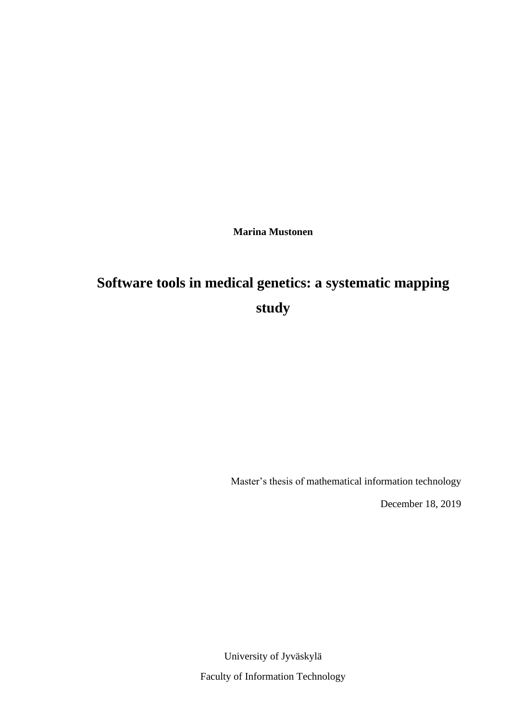**Marina Mustonen**

# **Software tools in medical genetics: a systematic mapping study**

Master's thesis of mathematical information technology

December 18, 2019

University of Jyväskylä Faculty of Information Technology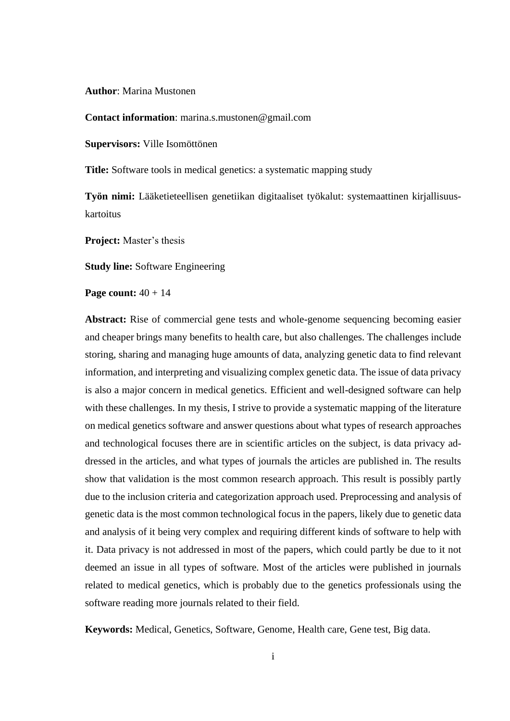**Author**: Marina Mustonen

**Contact information**: marina.s.mustonen@gmail.com

**Supervisors:** Ville Isomöttönen

**Title:** Software tools in medical genetics: a systematic mapping study

**Työn nimi:** Lääketieteellisen genetiikan digitaaliset työkalut: systemaattinen kirjallisuuskartoitus

**Project:** Master's thesis

**Study line:** Software Engineering

**Page count:** 40 + 14

**Abstract:** Rise of commercial gene tests and whole-genome sequencing becoming easier and cheaper brings many benefits to health care, but also challenges. The challenges include storing, sharing and managing huge amounts of data, analyzing genetic data to find relevant information, and interpreting and visualizing complex genetic data. The issue of data privacy is also a major concern in medical genetics. Efficient and well-designed software can help with these challenges. In my thesis, I strive to provide a systematic mapping of the literature on medical genetics software and answer questions about what types of research approaches and technological focuses there are in scientific articles on the subject, is data privacy addressed in the articles, and what types of journals the articles are published in. The results show that validation is the most common research approach. This result is possibly partly due to the inclusion criteria and categorization approach used. Preprocessing and analysis of genetic data is the most common technological focus in the papers, likely due to genetic data and analysis of it being very complex and requiring different kinds of software to help with it. Data privacy is not addressed in most of the papers, which could partly be due to it not deemed an issue in all types of software. Most of the articles were published in journals related to medical genetics, which is probably due to the genetics professionals using the software reading more journals related to their field.

**Keywords:** Medical, Genetics, Software, Genome, Health care, Gene test, Big data.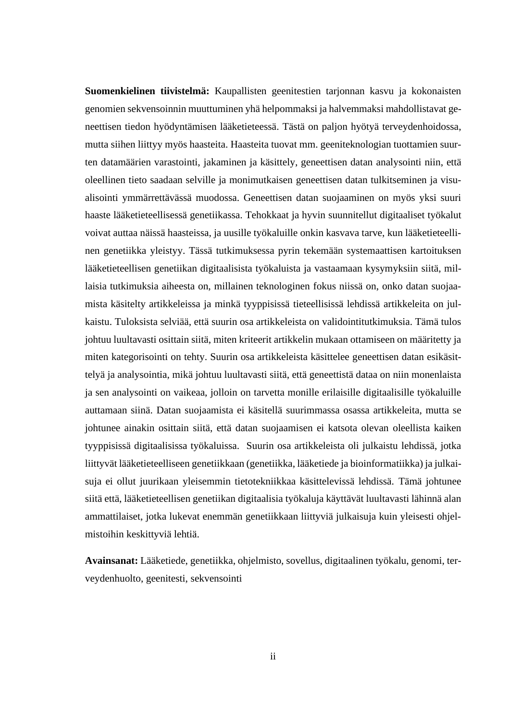**Suomenkielinen tiivistelmä:** Kaupallisten geenitestien tarjonnan kasvu ja kokonaisten genomien sekvensoinnin muuttuminen yhä helpommaksi ja halvemmaksi mahdollistavat geneettisen tiedon hyödyntämisen lääketieteessä. Tästä on paljon hyötyä terveydenhoidossa, mutta siihen liittyy myös haasteita. Haasteita tuovat mm. geeniteknologian tuottamien suurten datamäärien varastointi, jakaminen ja käsittely, geneettisen datan analysointi niin, että oleellinen tieto saadaan selville ja monimutkaisen geneettisen datan tulkitseminen ja visualisointi ymmärrettävässä muodossa. Geneettisen datan suojaaminen on myös yksi suuri haaste lääketieteellisessä genetiikassa. Tehokkaat ja hyvin suunnitellut digitaaliset työkalut voivat auttaa näissä haasteissa, ja uusille työkaluille onkin kasvava tarve, kun lääketieteellinen genetiikka yleistyy. Tässä tutkimuksessa pyrin tekemään systemaattisen kartoituksen lääketieteellisen genetiikan digitaalisista työkaluista ja vastaamaan kysymyksiin siitä, millaisia tutkimuksia aiheesta on, millainen teknologinen fokus niissä on, onko datan suojaamista käsitelty artikkeleissa ja minkä tyyppisissä tieteellisissä lehdissä artikkeleita on julkaistu. Tuloksista selviää, että suurin osa artikkeleista on validointitutkimuksia. Tämä tulos johtuu luultavasti osittain siitä, miten kriteerit artikkelin mukaan ottamiseen on määritetty ja miten kategorisointi on tehty. Suurin osa artikkeleista käsittelee geneettisen datan esikäsittelyä ja analysointia, mikä johtuu luultavasti siitä, että geneettistä dataa on niin monenlaista ja sen analysointi on vaikeaa, jolloin on tarvetta monille erilaisille digitaalisille työkaluille auttamaan siinä. Datan suojaamista ei käsitellä suurimmassa osassa artikkeleita, mutta se johtunee ainakin osittain siitä, että datan suojaamisen ei katsota olevan oleellista kaiken tyyppisissä digitaalisissa työkaluissa. Suurin osa artikkeleista oli julkaistu lehdissä, jotka liittyvät lääketieteelliseen genetiikkaan (genetiikka, lääketiede ja bioinformatiikka) ja julkaisuja ei ollut juurikaan yleisemmin tietotekniikkaa käsittelevissä lehdissä. Tämä johtunee siitä että, lääketieteellisen genetiikan digitaalisia työkaluja käyttävät luultavasti lähinnä alan ammattilaiset, jotka lukevat enemmän genetiikkaan liittyviä julkaisuja kuin yleisesti ohjelmistoihin keskittyviä lehtiä.

**Avainsanat:** Lääketiede, genetiikka, ohjelmisto, sovellus, digitaalinen työkalu, genomi, terveydenhuolto, geenitesti, sekvensointi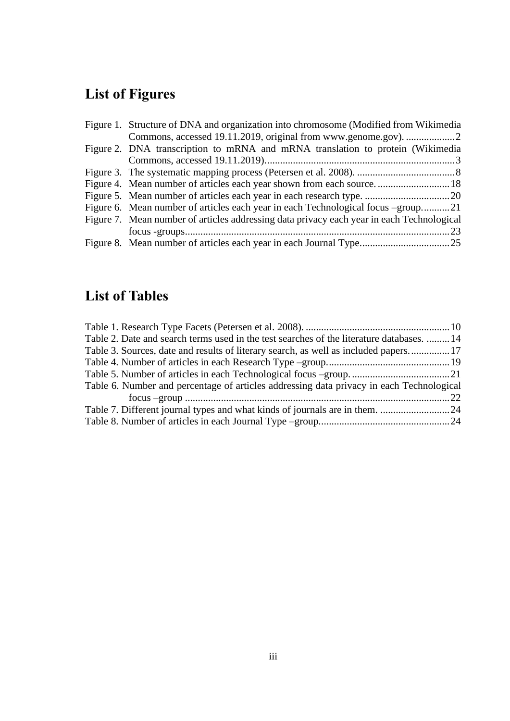# **List of Figures**

| Figure 1. Structure of DNA and organization into chromosome (Modified from Wikimedia      |
|-------------------------------------------------------------------------------------------|
|                                                                                           |
| Figure 2. DNA transcription to mRNA and mRNA translation to protein (Wikimedia            |
|                                                                                           |
|                                                                                           |
|                                                                                           |
|                                                                                           |
| Figure 6. Mean number of articles each year in each Technological focus -group21          |
| Figure 7. Mean number of articles addressing data privacy each year in each Technological |
|                                                                                           |
|                                                                                           |
|                                                                                           |

## **List of Tables**

| Table 2. Date and search terms used in the test searches of the literature databases.  14 |  |
|-------------------------------------------------------------------------------------------|--|
| Table 3. Sources, date and results of literary search, as well as included papers17       |  |
|                                                                                           |  |
|                                                                                           |  |
| Table 6. Number and percentage of articles addressing data privacy in each Technological  |  |
|                                                                                           |  |
|                                                                                           |  |
|                                                                                           |  |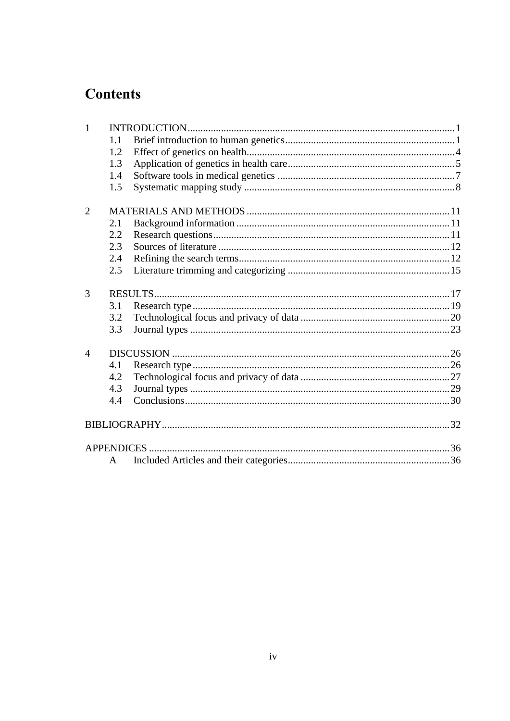## **Contents**

| $\mathbf{1}$   |     |  |
|----------------|-----|--|
|                | 1.1 |  |
|                | 1.2 |  |
|                | 1.3 |  |
|                | 1.4 |  |
|                | 1.5 |  |
| $\overline{2}$ |     |  |
|                | 2.1 |  |
|                | 2.2 |  |
|                | 2.3 |  |
|                | 2.4 |  |
|                | 2.5 |  |
| 3              |     |  |
|                | 3.1 |  |
|                | 3.2 |  |
|                | 3.3 |  |
| $\overline{4}$ |     |  |
|                | 4.1 |  |
|                | 4.2 |  |
|                | 4.3 |  |
|                | 4.4 |  |
|                |     |  |
|                |     |  |
|                | A   |  |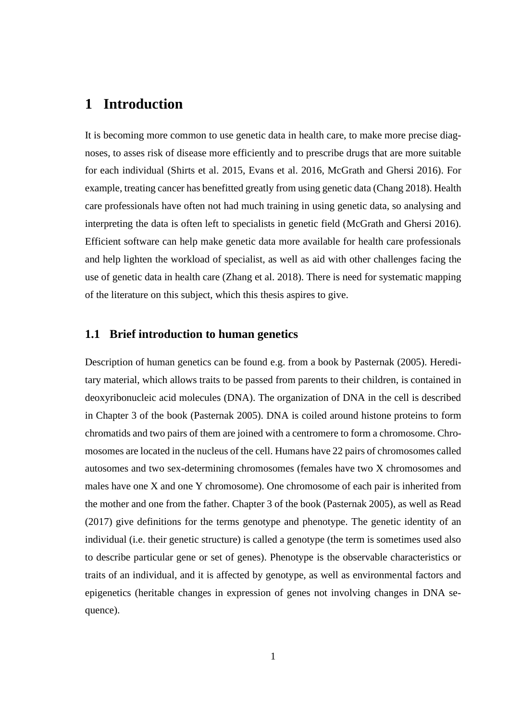## <span id="page-5-0"></span>**1 Introduction**

It is becoming more common to use genetic data in health care, to make more precise diagnoses, to asses risk of disease more efficiently and to prescribe drugs that are more suitable for each individual (Shirts et al. 2015, Evans et al. 2016, McGrath and Ghersi 2016). For example, treating cancer has benefitted greatly from using genetic data (Chang 2018). Health care professionals have often not had much training in using genetic data, so analysing and interpreting the data is often left to specialists in genetic field (McGrath and Ghersi 2016). Efficient software can help make genetic data more available for health care professionals and help lighten the workload of specialist, as well as aid with other challenges facing the use of genetic data in health care (Zhang et al. 2018). There is need for systematic mapping of the literature on this subject, which this thesis aspires to give.

#### <span id="page-5-1"></span>**1.1 Brief introduction to human genetics**

Description of human genetics can be found e.g. from a book by Pasternak (2005). Hereditary material, which allows traits to be passed from parents to their children, is contained in deoxyribonucleic acid molecules (DNA). The organization of DNA in the cell is described in Chapter 3 of the book (Pasternak 2005). DNA is coiled around histone proteins to form chromatids and two pairs of them are joined with a centromere to form a chromosome. Chromosomes are located in the nucleus of the cell. Humans have 22 pairs of chromosomes called autosomes and two sex-determining chromosomes (females have two X chromosomes and males have one X and one Y chromosome). One chromosome of each pair is inherited from the mother and one from the father. Chapter 3 of the book (Pasternak 2005), as well as Read (2017) give definitions for the terms genotype and phenotype. The genetic identity of an individual (i.e. their genetic structure) is called a genotype (the term is sometimes used also to describe particular gene or set of genes). Phenotype is the observable characteristics or traits of an individual, and it is affected by genotype, as well as environmental factors and epigenetics (heritable changes in expression of genes not involving changes in DNA sequence).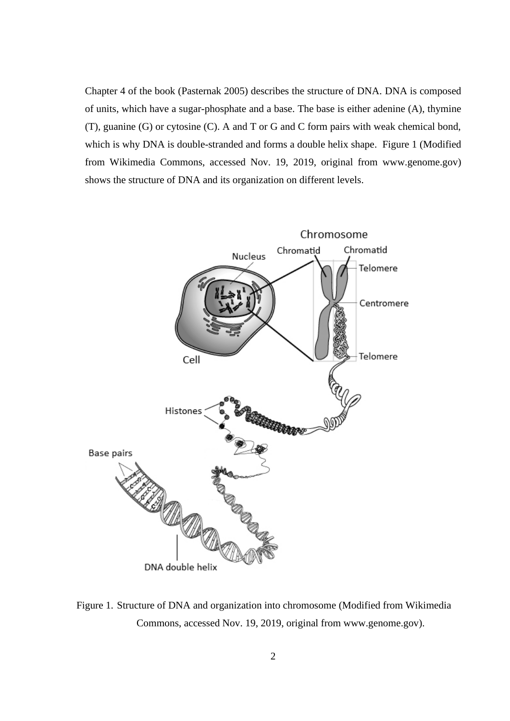Chapter 4 of the book (Pasternak 2005) describes the structure of DNA. DNA is composed of units, which have a sugar-phosphate and a base. The base is either adenine (A), thymine (T), guanine (G) or cytosine (C). A and T or G and C form pairs with weak chemical bond, which is why DNA is double-stranded and forms a double helix shape. Figure 1 (Modified from Wikimedia Commons, accessed Nov. 19, 2019, original from www.genome.gov) shows the structure of DNA and its organization on different levels.



<span id="page-6-0"></span>Figure 1. Structure of DNA and organization into chromosome (Modified from Wikimedia Commons, accessed Nov. 19, 2019, original from www.genome.gov).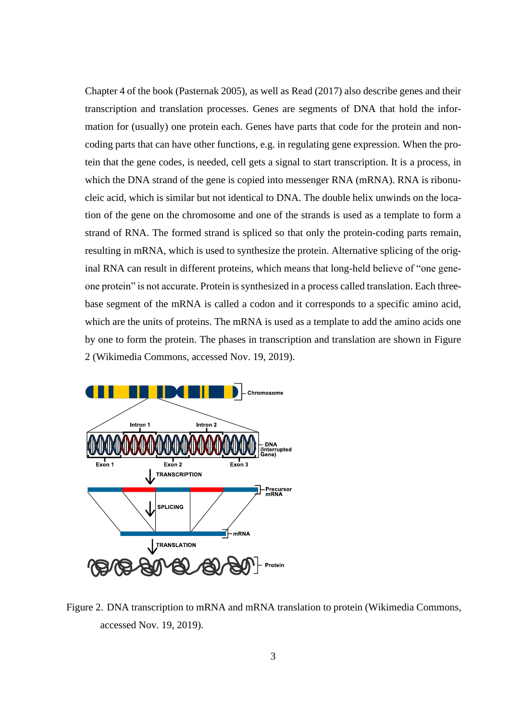Chapter 4 of the book (Pasternak 2005), as well as Read (2017) also describe genes and their transcription and translation processes. Genes are segments of DNA that hold the information for (usually) one protein each. Genes have parts that code for the protein and noncoding parts that can have other functions, e.g. in regulating gene expression. When the protein that the gene codes, is needed, cell gets a signal to start transcription. It is a process, in which the DNA strand of the gene is copied into messenger RNA (mRNA). RNA is ribonucleic acid, which is similar but not identical to DNA. The double helix unwinds on the location of the gene on the chromosome and one of the strands is used as a template to form a strand of RNA. The formed strand is spliced so that only the protein-coding parts remain, resulting in mRNA, which is used to synthesize the protein. Alternative splicing of the original RNA can result in different proteins, which means that long-held believe of "one geneone protein" is not accurate. Protein is synthesized in a process called translation. Each threebase segment of the mRNA is called a codon and it corresponds to a specific amino acid, which are the units of proteins. The mRNA is used as a template to add the amino acids one by one to form the protein. The phases in transcription and translation are shown in Figure 2 (Wikimedia Commons, accessed Nov. 19, 2019).



<span id="page-7-0"></span>Figure 2. DNA transcription to mRNA and mRNA translation to protein (Wikimedia Commons, accessed Nov. 19, 2019).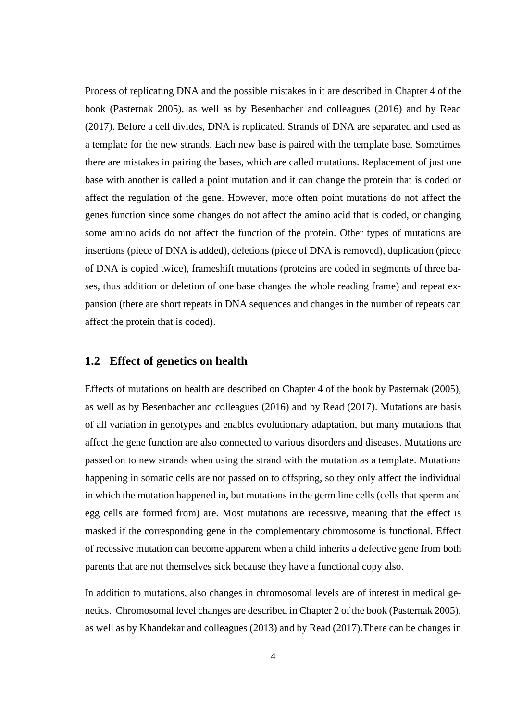Process of replicating DNA and the possible mistakes in it are described in Chapter 4 of the book (Pasternak 2005), as well as by Besenbacher and colleagues (2016) and by Read (2017). Before a cell divides, DNA is replicated. Strands of DNA are separated and used as a template for the new strands. Each new base is paired with the template base. Sometimes there are mistakes in pairing the bases, which are called mutations. Replacement of just one base with another is called a point mutation and it can change the protein that is coded or affect the regulation of the gene. However, more often point mutations do not affect the genes function since some changes do not affect the amino acid that is coded, or changing some amino acids do not affect the function of the protein. Other types of mutations are insertions (piece of DNA is added), deletions (piece of DNA is removed), duplication (piece of DNA is copied twice), frameshift mutations (proteins are coded in segments of three bases, thus addition or deletion of one base changes the whole reading frame) and repeat expansion (there are short repeats in DNA sequences and changes in the number of repeats can affect the protein that is coded).

#### <span id="page-8-0"></span>**1.2 Effect of genetics on health**

Effects of mutations on health are described on Chapter 4 of the book by Pasternak (2005), as well as by Besenbacher and colleagues (2016) and by Read (2017). Mutations are basis of all variation in genotypes and enables evolutionary adaptation, but many mutations that affect the gene function are also connected to various disorders and diseases. Mutations are passed on to new strands when using the strand with the mutation as a template. Mutations happening in somatic cells are not passed on to offspring, so they only affect the individual in which the mutation happened in, but mutations in the germ line cells (cells that sperm and egg cells are formed from) are. Most mutations are recessive, meaning that the effect is masked if the corresponding gene in the complementary chromosome is functional. Effect of recessive mutation can become apparent when a child inherits a defective gene from both parents that are not themselves sick because they have a functional copy also.

In addition to mutations, also changes in chromosomal levels are of interest in medical genetics. Chromosomal level changes are described in Chapter 2 of the book (Pasternak 2005), as well as by Khandekar and colleagues (2013) and by Read (2017).There can be changes in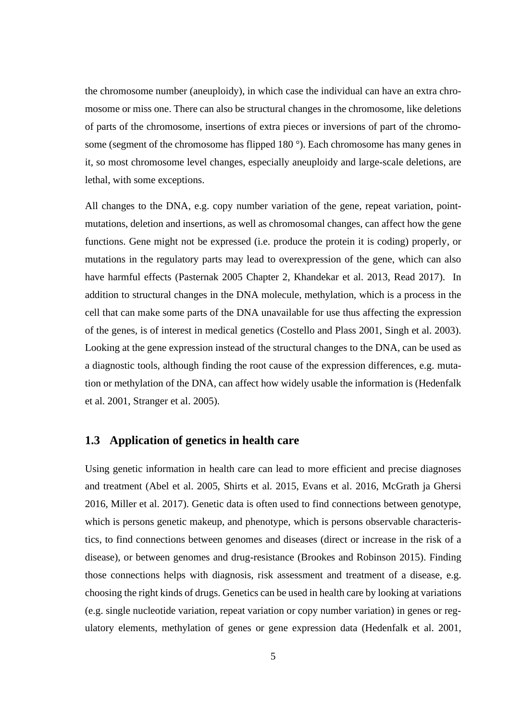the chromosome number (aneuploidy), in which case the individual can have an extra chromosome or miss one. There can also be structural changes in the chromosome, like deletions of parts of the chromosome, insertions of extra pieces or inversions of part of the chromosome (segment of the chromosome has flipped 180<sup>°</sup>). Each chromosome has many genes in it, so most chromosome level changes, especially aneuploidy and large-scale deletions, are lethal, with some exceptions.

All changes to the DNA, e.g. copy number variation of the gene, repeat variation, pointmutations, deletion and insertions, as well as chromosomal changes, can affect how the gene functions. Gene might not be expressed (i.e. produce the protein it is coding) properly, or mutations in the regulatory parts may lead to overexpression of the gene, which can also have harmful effects (Pasternak 2005 Chapter 2, Khandekar et al. 2013, Read 2017). In addition to structural changes in the DNA molecule, methylation, which is a process in the cell that can make some parts of the DNA unavailable for use thus affecting the expression of the genes, is of interest in medical genetics (Costello and Plass 2001, Singh et al. 2003). Looking at the gene expression instead of the structural changes to the DNA, can be used as a diagnostic tools, although finding the root cause of the expression differences, e.g. mutation or methylation of the DNA, can affect how widely usable the information is (Hedenfalk et al. 2001, Stranger et al. 2005).

#### <span id="page-9-0"></span>**1.3 Application of genetics in health care**

Using genetic information in health care can lead to more efficient and precise diagnoses and treatment (Abel et al. 2005, Shirts et al. 2015, Evans et al. 2016, McGrath ja Ghersi 2016, Miller et al. 2017). Genetic data is often used to find connections between genotype, which is persons genetic makeup, and phenotype, which is persons observable characteristics, to find connections between genomes and diseases (direct or increase in the risk of a disease), or between genomes and drug-resistance (Brookes and Robinson 2015). Finding those connections helps with diagnosis, risk assessment and treatment of a disease, e.g. choosing the right kinds of drugs. Genetics can be used in health care by looking at variations (e.g. single nucleotide variation, repeat variation or copy number variation) in genes or regulatory elements, methylation of genes or gene expression data (Hedenfalk et al. 2001,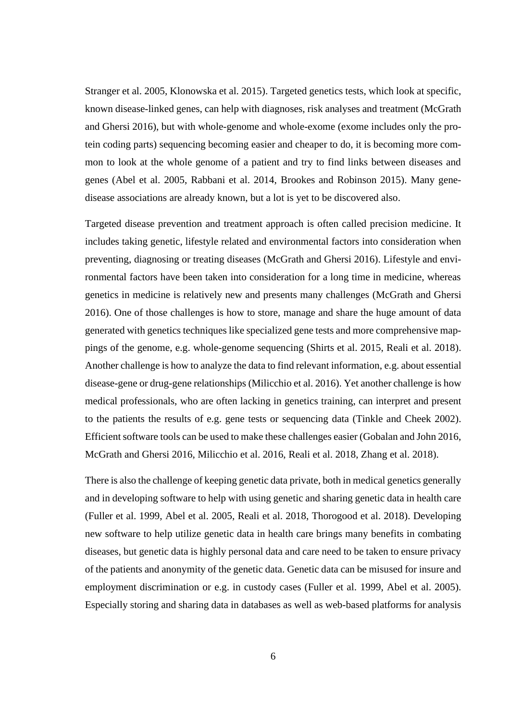Stranger et al. 2005, Klonowska et al. 2015). Targeted genetics tests, which look at specific, known disease-linked genes, can help with diagnoses, risk analyses and treatment (McGrath and Ghersi 2016), but with whole-genome and whole-exome (exome includes only the protein coding parts) sequencing becoming easier and cheaper to do, it is becoming more common to look at the whole genome of a patient and try to find links between diseases and genes (Abel et al. 2005, Rabbani et al. 2014, Brookes and Robinson 2015). Many genedisease associations are already known, but a lot is yet to be discovered also.

Targeted disease prevention and treatment approach is often called precision medicine. It includes taking genetic, lifestyle related and environmental factors into consideration when preventing, diagnosing or treating diseases (McGrath and Ghersi 2016). Lifestyle and environmental factors have been taken into consideration for a long time in medicine, whereas genetics in medicine is relatively new and presents many challenges (McGrath and Ghersi 2016). One of those challenges is how to store, manage and share the huge amount of data generated with genetics techniques like specialized gene tests and more comprehensive mappings of the genome, e.g. whole-genome sequencing (Shirts et al. 2015, Reali et al. 2018). Another challenge is how to analyze the data to find relevant information, e.g. about essential disease-gene or drug-gene relationships (Milicchio et al. 2016). Yet another challenge is how medical professionals, who are often lacking in genetics training, can interpret and present to the patients the results of e.g. gene tests or sequencing data (Tinkle and Cheek 2002). Efficient software tools can be used to make these challenges easier (Gobalan and John 2016, McGrath and Ghersi 2016, Milicchio et al. 2016, Reali et al. 2018, Zhang et al. 2018).

There is also the challenge of keeping genetic data private, both in medical genetics generally and in developing software to help with using genetic and sharing genetic data in health care (Fuller et al. 1999, Abel et al. 2005, Reali et al. 2018, Thorogood et al. 2018). Developing new software to help utilize genetic data in health care brings many benefits in combating diseases, but genetic data is highly personal data and care need to be taken to ensure privacy of the patients and anonymity of the genetic data. Genetic data can be misused for insure and employment discrimination or e.g. in custody cases (Fuller et al. 1999, Abel et al. 2005). Especially storing and sharing data in databases as well as web-based platforms for analysis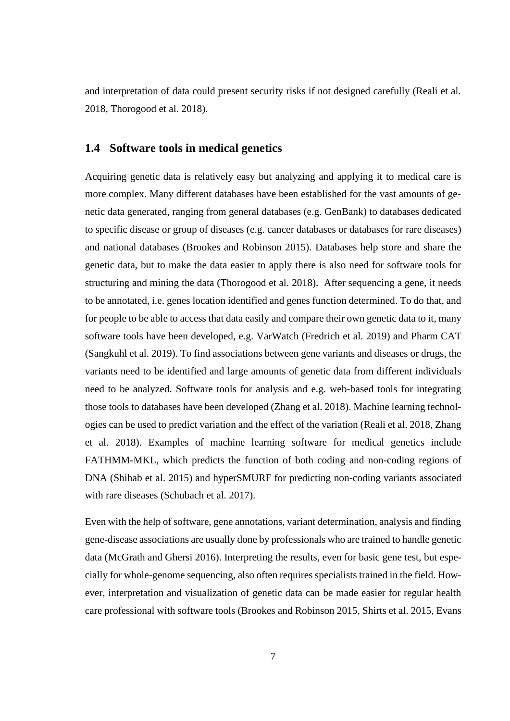and interpretation of data could present security risks if not designed carefully (Reali et al. 2018, Thorogood et al. 2018).

#### <span id="page-11-0"></span>**1.4 Software tools in medical genetics**

Acquiring genetic data is relatively easy but analyzing and applying it to medical care is more complex. Many different databases have been established for the vast amounts of genetic data generated, ranging from general databases (e.g. GenBank) to databases dedicated to specific disease or group of diseases (e.g. cancer databases or databases for rare diseases) and national databases (Brookes and Robinson 2015). Databases help store and share the genetic data, but to make the data easier to apply there is also need for software tools for structuring and mining the data (Thorogood et al. 2018). After sequencing a gene, it needs to be annotated, i.e. genes location identified and genes function determined. To do that, and for people to be able to access that data easily and compare their own genetic data to it, many software tools have been developed, e.g. VarWatch (Fredrich et al. 2019) and Pharm CAT (Sangkuhl et al. 2019). To find associations between gene variants and diseases or drugs, the variants need to be identified and large amounts of genetic data from different individuals need to be analyzed. Software tools for analysis and e.g. web-based tools for integrating those tools to databases have been developed (Zhang et al. 2018). Machine learning technologies can be used to predict variation and the effect of the variation (Reali et al. 2018, Zhang et al. 2018). Examples of machine learning software for medical genetics include FATHMM-MKL, which predicts the function of both coding and non-coding regions of DNA (Shihab et al. 2015) and hyperSMURF for predicting non-coding variants associated with rare diseases (Schubach et al. 2017).

Even with the help of software, gene annotations, variant determination, analysis and finding gene-disease associations are usually done by professionals who are trained to handle genetic data (McGrath and Ghersi 2016). Interpreting the results, even for basic gene test, but especially for whole-genome sequencing, also often requires specialists trained in the field. However, interpretation and visualization of genetic data can be made easier for regular health care professional with software tools (Brookes and Robinson 2015, Shirts et al. 2015, Evans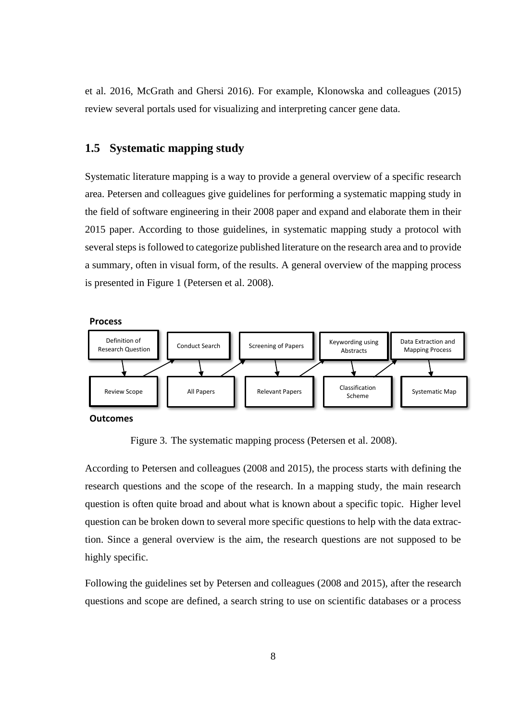et al. 2016, McGrath and Ghersi 2016). For example, Klonowska and colleagues (2015) review several portals used for visualizing and interpreting cancer gene data.

#### <span id="page-12-1"></span>**1.5 Systematic mapping study**

Systematic literature mapping is a way to provide a general overview of a specific research area. Petersen and colleagues give guidelines for performing a systematic mapping study in the field of software engineering in their 2008 paper and expand and elaborate them in their 2015 paper. According to those guidelines, in systematic mapping study a protocol with several steps is followed to categorize published literature on the research area and to provide a summary, often in visual form, of the results. A general overview of the mapping process is presented in Figure 1 (Petersen et al. 2008).



Figure 3. The systematic mapping process (Petersen et al. 2008).

<span id="page-12-0"></span>According to Petersen and colleagues (2008 and 2015), the process starts with defining the research questions and the scope of the research. In a mapping study, the main research question is often quite broad and about what is known about a specific topic. Higher level question can be broken down to several more specific questions to help with the data extraction. Since a general overview is the aim, the research questions are not supposed to be highly specific.

Following the guidelines set by Petersen and colleagues (2008 and 2015), after the research questions and scope are defined, a search string to use on scientific databases or a process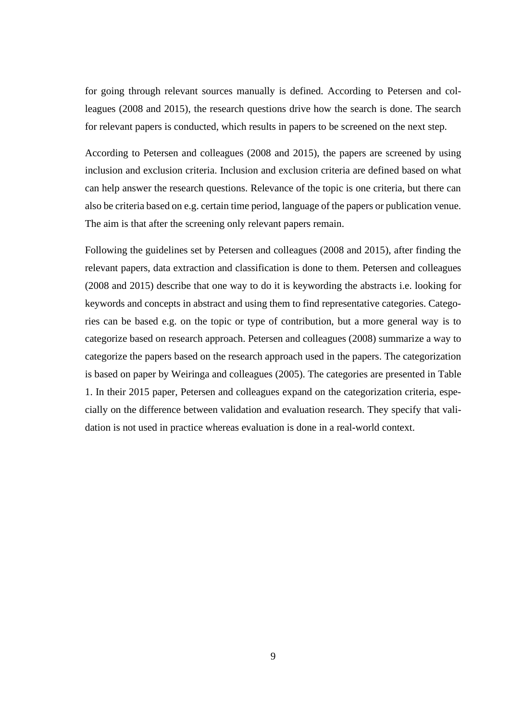for going through relevant sources manually is defined. According to Petersen and colleagues (2008 and 2015), the research questions drive how the search is done. The search for relevant papers is conducted, which results in papers to be screened on the next step.

According to Petersen and colleagues (2008 and 2015), the papers are screened by using inclusion and exclusion criteria. Inclusion and exclusion criteria are defined based on what can help answer the research questions. Relevance of the topic is one criteria, but there can also be criteria based on e.g. certain time period, language of the papers or publication venue. The aim is that after the screening only relevant papers remain.

Following the guidelines set by Petersen and colleagues (2008 and 2015), after finding the relevant papers, data extraction and classification is done to them. Petersen and colleagues (2008 and 2015) describe that one way to do it is keywording the abstracts i.e. looking for keywords and concepts in abstract and using them to find representative categories. Categories can be based e.g. on the topic or type of contribution, but a more general way is to categorize based on research approach. Petersen and colleagues (2008) summarize a way to categorize the papers based on the research approach used in the papers. The categorization is based on paper by Weiringa and colleagues (2005). The categories are presented in Table 1. In their 2015 paper, Petersen and colleagues expand on the categorization criteria, especially on the difference between validation and evaluation research. They specify that validation is not used in practice whereas evaluation is done in a real-world context.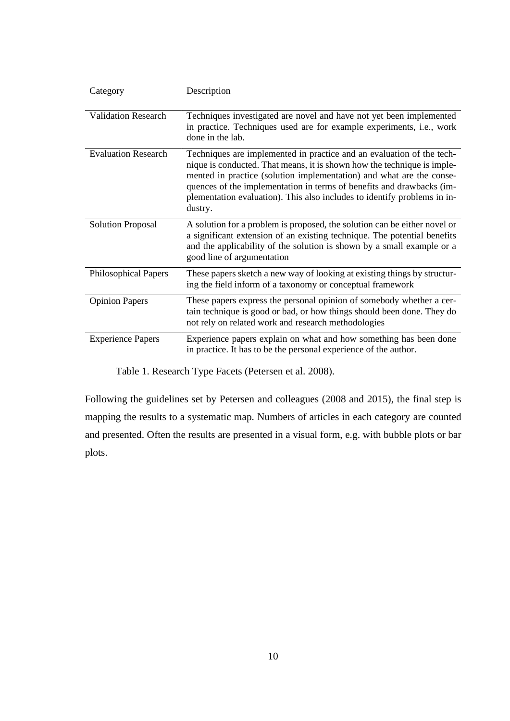| Category                    | Description                                                                                                                                                                                                                                                                                                                                                                              |
|-----------------------------|------------------------------------------------------------------------------------------------------------------------------------------------------------------------------------------------------------------------------------------------------------------------------------------------------------------------------------------------------------------------------------------|
| <b>Validation Research</b>  | Techniques investigated are novel and have not yet been implemented<br>in practice. Techniques used are for example experiments, i.e., work<br>done in the lab.                                                                                                                                                                                                                          |
| <b>Evaluation Research</b>  | Techniques are implemented in practice and an evaluation of the tech-<br>nique is conducted. That means, it is shown how the technique is imple-<br>mented in practice (solution implementation) and what are the conse-<br>quences of the implementation in terms of benefits and drawbacks (im-<br>plementation evaluation). This also includes to identify problems in in-<br>dustry. |
| <b>Solution Proposal</b>    | A solution for a problem is proposed, the solution can be either novel or<br>a significant extension of an existing technique. The potential benefits<br>and the applicability of the solution is shown by a small example or a<br>good line of argumentation                                                                                                                            |
| <b>Philosophical Papers</b> | These papers sketch a new way of looking at existing things by structur-<br>ing the field inform of a taxonomy or conceptual framework                                                                                                                                                                                                                                                   |
| <b>Opinion Papers</b>       | These papers express the personal opinion of somebody whether a cer-<br>tain technique is good or bad, or how things should been done. They do<br>not rely on related work and research methodologies                                                                                                                                                                                    |
| <b>Experience Papers</b>    | Experience papers explain on what and how something has been done<br>in practice. It has to be the personal experience of the author.                                                                                                                                                                                                                                                    |

Table 1. Research Type Facets (Petersen et al. 2008).

Following the guidelines set by Petersen and colleagues (2008 and 2015), the final step is mapping the results to a systematic map. Numbers of articles in each category are counted and presented. Often the results are presented in a visual form, e.g. with bubble plots or bar plots.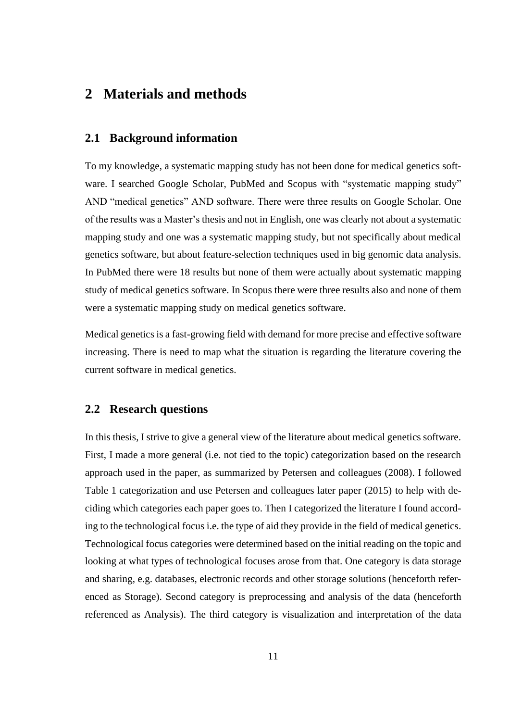### <span id="page-15-0"></span>**2 Materials and methods**

#### <span id="page-15-1"></span>**2.1 Background information**

To my knowledge, a systematic mapping study has not been done for medical genetics software. I searched Google Scholar, PubMed and Scopus with "systematic mapping study" AND "medical genetics" AND software. There were three results on Google Scholar. One of the results was a Master's thesis and not in English, one was clearly not about a systematic mapping study and one was a systematic mapping study, but not specifically about medical genetics software, but about feature-selection techniques used in big genomic data analysis. In PubMed there were 18 results but none of them were actually about systematic mapping study of medical genetics software. In Scopus there were three results also and none of them were a systematic mapping study on medical genetics software.

Medical genetics is a fast-growing field with demand for more precise and effective software increasing. There is need to map what the situation is regarding the literature covering the current software in medical genetics.

#### <span id="page-15-2"></span>**2.2 Research questions**

In this thesis, I strive to give a general view of the literature about medical genetics software. First, I made a more general (i.e. not tied to the topic) categorization based on the research approach used in the paper, as summarized by Petersen and colleagues (2008). I followed Table 1 categorization and use Petersen and colleagues later paper (2015) to help with deciding which categories each paper goes to. Then I categorized the literature I found according to the technological focus i.e. the type of aid they provide in the field of medical genetics. Technological focus categories were determined based on the initial reading on the topic and looking at what types of technological focuses arose from that. One category is data storage and sharing, e.g. databases, electronic records and other storage solutions (henceforth referenced as Storage). Second category is preprocessing and analysis of the data (henceforth referenced as Analysis). The third category is visualization and interpretation of the data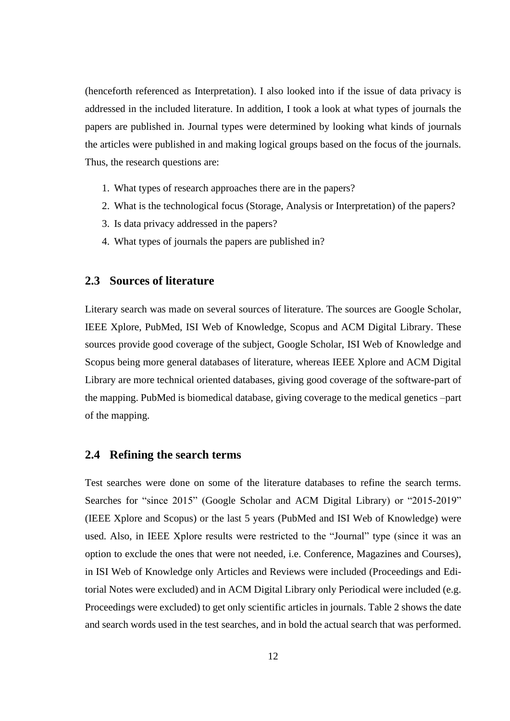(henceforth referenced as Interpretation). I also looked into if the issue of data privacy is addressed in the included literature. In addition, I took a look at what types of journals the papers are published in. Journal types were determined by looking what kinds of journals the articles were published in and making logical groups based on the focus of the journals. Thus, the research questions are:

- 1. What types of research approaches there are in the papers?
- 2. What is the technological focus (Storage, Analysis or Interpretation) of the papers?
- 3. Is data privacy addressed in the papers?
- 4. What types of journals the papers are published in?

#### <span id="page-16-0"></span>**2.3 Sources of literature**

Literary search was made on several sources of literature. The sources are Google Scholar, IEEE Xplore, PubMed, ISI Web of Knowledge, Scopus and ACM Digital Library. These sources provide good coverage of the subject, Google Scholar, ISI Web of Knowledge and Scopus being more general databases of literature, whereas IEEE Xplore and ACM Digital Library are more technical oriented databases, giving good coverage of the software-part of the mapping. PubMed is biomedical database, giving coverage to the medical genetics –part of the mapping.

#### <span id="page-16-1"></span>**2.4 Refining the search terms**

Test searches were done on some of the literature databases to refine the search terms. Searches for "since 2015" (Google Scholar and ACM Digital Library) or "2015-2019" (IEEE Xplore and Scopus) or the last 5 years (PubMed and ISI Web of Knowledge) were used. Also, in IEEE Xplore results were restricted to the "Journal" type (since it was an option to exclude the ones that were not needed, i.e. Conference, Magazines and Courses), in ISI Web of Knowledge only Articles and Reviews were included (Proceedings and Editorial Notes were excluded) and in ACM Digital Library only Periodical were included (e.g. Proceedings were excluded) to get only scientific articles in journals. Table 2 shows the date and search words used in the test searches, and in bold the actual search that was performed.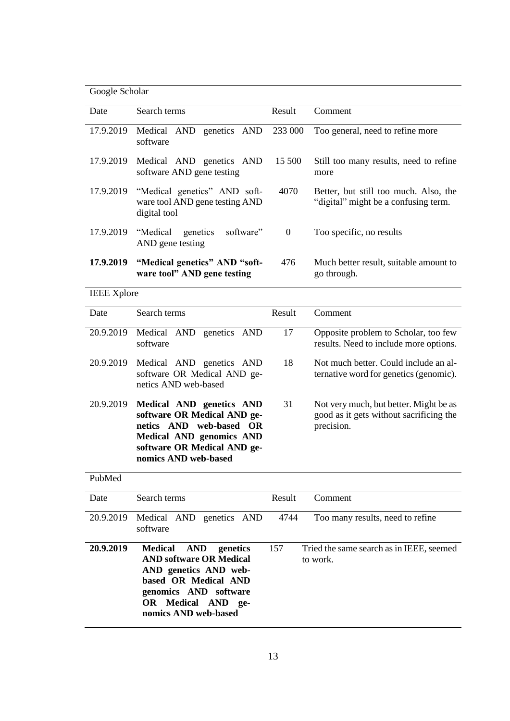| Google Scholar |
|----------------|
|----------------|

| Date      | Search terms                                                                   | Result   | Comment                                                                       |
|-----------|--------------------------------------------------------------------------------|----------|-------------------------------------------------------------------------------|
| 17.9.2019 | Medical AND<br>genetics AND<br>software                                        | 233 000  | Too general, need to refine more                                              |
| 17.9.2019 | Medical AND genetics AND<br>software AND gene testing                          | 15 500   | Still too many results, need to refine<br>more                                |
| 17.9.2019 | "Medical genetics" AND soft-<br>ware tool AND gene testing AND<br>digital tool | 4070     | Better, but still too much. Also, the<br>"digital" might be a confusing term. |
| 17.9.2019 | software"<br>"Medical<br>genetics<br>AND gene testing                          | $\theta$ | Too specific, no results                                                      |
| 17.9.2019 | "Medical genetics" AND "soft-<br>ware tool" AND gene testing                   | 476      | Much better result, suitable amount to<br>go through.                         |

IEEE Xplore

| Date      | Search terms                                                                                                                                                                 | Result | Comment                                                                                         |
|-----------|------------------------------------------------------------------------------------------------------------------------------------------------------------------------------|--------|-------------------------------------------------------------------------------------------------|
| 20.9.2019 | Medical AND genetics AND<br>software                                                                                                                                         | 17     | Opposite problem to Scholar, too few<br>results. Need to include more options.                  |
| 20.9.2019 | Medical AND genetics AND<br>software OR Medical AND ge-<br>netics AND web-based                                                                                              | 18     | Not much better. Could include an al-<br>ternative word for genetics (genomic).                 |
| 20.9.2019 | Medical AND genetics AND<br>software OR Medical AND ge-<br>netics AND web-based OR<br><b>Medical AND genomics AND</b><br>software OR Medical AND ge-<br>nomics AND web-based | 31     | Not very much, but better. Might be as<br>good as it gets without sacrificing the<br>precision. |

PubMed

| Date      | Search terms                                                                                                                                                                                       | Result | Comment                                              |
|-----------|----------------------------------------------------------------------------------------------------------------------------------------------------------------------------------------------------|--------|------------------------------------------------------|
| 20.9.2019 | Medical AND genetics AND<br>software                                                                                                                                                               | 4744   | Too many results, need to refine                     |
| 20.9.2019 | <b>Medical</b><br>AND<br>157<br>genetics<br><b>AND software OR Medical</b><br>AND genetics AND web-<br>based OR Medical AND<br>genomics AND software<br>OR Medical AND ge-<br>nomics AND web-based |        | Tried the same search as in IEEE, seemed<br>to work. |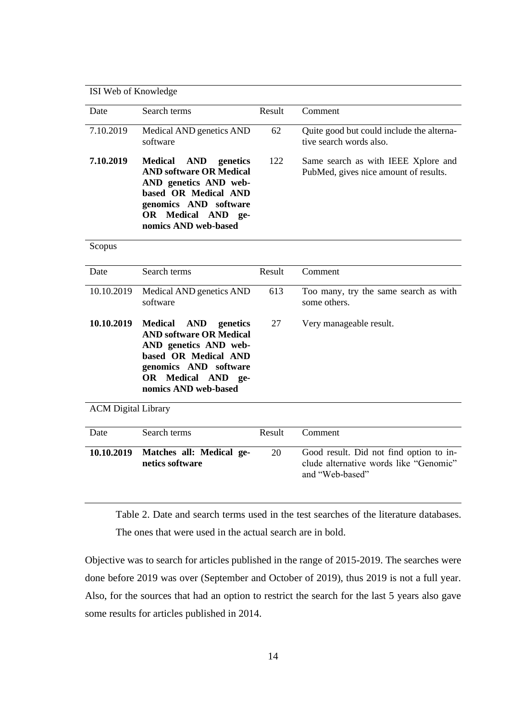| ISI Web of Knowledge       |                                                                                                                                                                                                    |        |                                                                                                      |  |  |
|----------------------------|----------------------------------------------------------------------------------------------------------------------------------------------------------------------------------------------------|--------|------------------------------------------------------------------------------------------------------|--|--|
|                            |                                                                                                                                                                                                    |        |                                                                                                      |  |  |
| Date                       | Search terms                                                                                                                                                                                       | Result | Comment                                                                                              |  |  |
| 7.10.2019                  | Medical AND genetics AND<br>software                                                                                                                                                               | 62     | Quite good but could include the alterna-<br>tive search words also.                                 |  |  |
| 7.10.2019                  | <b>Medical</b><br><b>AND</b> genetics<br><b>AND software OR Medical</b><br>AND genetics AND web-<br>based OR Medical AND<br>genomics AND software<br>OR Medical AND ge-<br>nomics AND web-based    | 122    | Same search as with IEEE Xplore and<br>PubMed, gives nice amount of results.                         |  |  |
| Scopus                     |                                                                                                                                                                                                    |        |                                                                                                      |  |  |
| Date                       | Search terms                                                                                                                                                                                       | Result | Comment                                                                                              |  |  |
| 10.10.2019                 | Medical AND genetics AND<br>software                                                                                                                                                               | 613    | Too many, try the same search as with<br>some others.                                                |  |  |
| 10.10.2019                 | <b>Medical</b><br><b>AND</b><br>genetics<br><b>AND software OR Medical</b><br>AND genetics AND web-<br>based OR Medical AND<br>genomics AND software<br>OR Medical AND ge-<br>nomics AND web-based | 27     | Very manageable result.                                                                              |  |  |
| <b>ACM Digital Library</b> |                                                                                                                                                                                                    |        |                                                                                                      |  |  |
| Date                       | Search terms                                                                                                                                                                                       | Result | Comment                                                                                              |  |  |
| 10.10.2019                 | Matches all: Medical ge-<br>netics software                                                                                                                                                        | 20     | Good result. Did not find option to in-<br>clude alternative words like "Genomic"<br>and "Web-based" |  |  |

Table 2. Date and search terms used in the test searches of the literature databases. The ones that were used in the actual search are in bold.

Objective was to search for articles published in the range of 2015-2019. The searches were done before 2019 was over (September and October of 2019), thus 2019 is not a full year. Also, for the sources that had an option to restrict the search for the last 5 years also gave some results for articles published in 2014.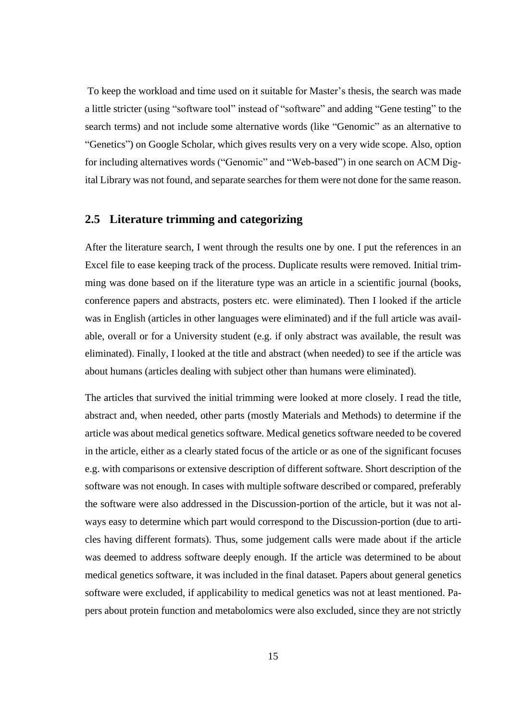To keep the workload and time used on it suitable for Master's thesis, the search was made a little stricter (using "software tool" instead of "software" and adding "Gene testing" to the search terms) and not include some alternative words (like "Genomic" as an alternative to "Genetics") on Google Scholar, which gives results very on a very wide scope. Also, option for including alternatives words ("Genomic" and "Web-based") in one search on ACM Digital Library was not found, and separate searches for them were not done for the same reason.

#### <span id="page-19-0"></span>**2.5 Literature trimming and categorizing**

After the literature search, I went through the results one by one. I put the references in an Excel file to ease keeping track of the process. Duplicate results were removed. Initial trimming was done based on if the literature type was an article in a scientific journal (books, conference papers and abstracts, posters etc. were eliminated). Then I looked if the article was in English (articles in other languages were eliminated) and if the full article was available, overall or for a University student (e.g. if only abstract was available, the result was eliminated). Finally, I looked at the title and abstract (when needed) to see if the article was about humans (articles dealing with subject other than humans were eliminated).

The articles that survived the initial trimming were looked at more closely. I read the title, abstract and, when needed, other parts (mostly Materials and Methods) to determine if the article was about medical genetics software. Medical genetics software needed to be covered in the article, either as a clearly stated focus of the article or as one of the significant focuses e.g. with comparisons or extensive description of different software. Short description of the software was not enough. In cases with multiple software described or compared, preferably the software were also addressed in the Discussion-portion of the article, but it was not always easy to determine which part would correspond to the Discussion-portion (due to articles having different formats). Thus, some judgement calls were made about if the article was deemed to address software deeply enough. If the article was determined to be about medical genetics software, it was included in the final dataset. Papers about general genetics software were excluded, if applicability to medical genetics was not at least mentioned. Papers about protein function and metabolomics were also excluded, since they are not strictly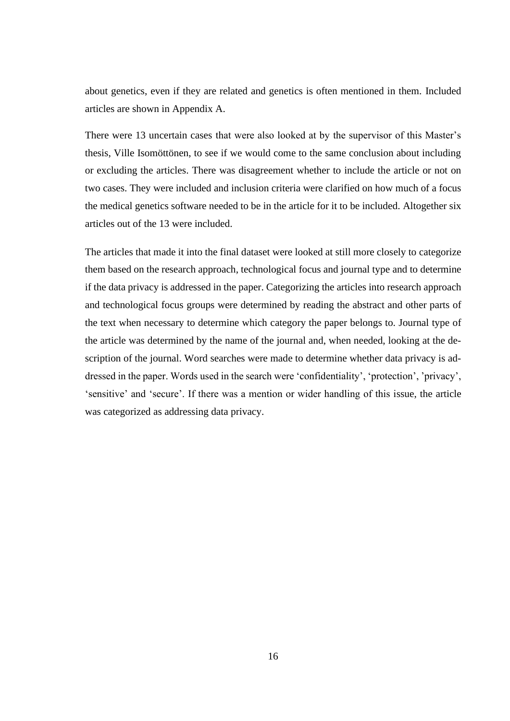about genetics, even if they are related and genetics is often mentioned in them. Included articles are shown in Appendix A.

There were 13 uncertain cases that were also looked at by the supervisor of this Master's thesis, Ville Isomöttönen, to see if we would come to the same conclusion about including or excluding the articles. There was disagreement whether to include the article or not on two cases. They were included and inclusion criteria were clarified on how much of a focus the medical genetics software needed to be in the article for it to be included. Altogether six articles out of the 13 were included.

The articles that made it into the final dataset were looked at still more closely to categorize them based on the research approach, technological focus and journal type and to determine if the data privacy is addressed in the paper. Categorizing the articles into research approach and technological focus groups were determined by reading the abstract and other parts of the text when necessary to determine which category the paper belongs to. Journal type of the article was determined by the name of the journal and, when needed, looking at the description of the journal. Word searches were made to determine whether data privacy is addressed in the paper. Words used in the search were 'confidentiality', 'protection', 'privacy', 'sensitive' and 'secure'. If there was a mention or wider handling of this issue, the article was categorized as addressing data privacy.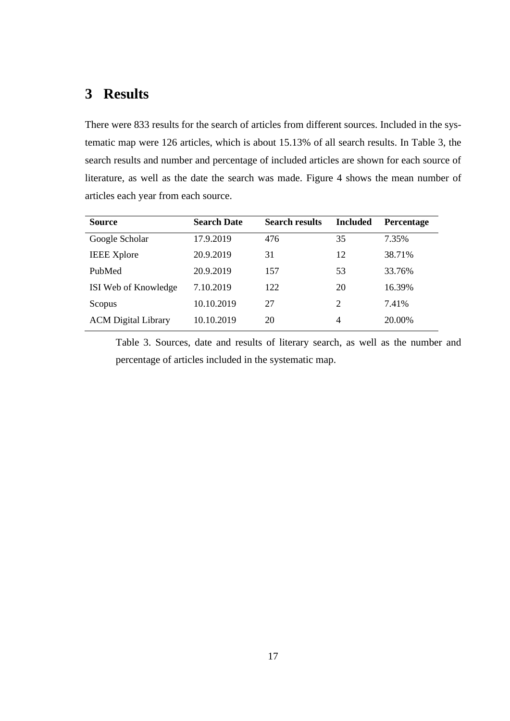## <span id="page-21-0"></span>**3 Results**

There were 833 results for the search of articles from different sources. Included in the systematic map were 126 articles, which is about 15.13% of all search results. In Table 3, the search results and number and percentage of included articles are shown for each source of literature, as well as the date the search was made. Figure 4 shows the mean number of articles each year from each source.

| <b>Source</b>              | <b>Search Date</b> | <b>Search results</b> | <b>Included</b> | <b>Percentage</b> |
|----------------------------|--------------------|-----------------------|-----------------|-------------------|
| Google Scholar             | 17.9.2019          | 476                   | 35              | 7.35%             |
| <b>IEEE</b> Xplore         | 20.9.2019          | 31                    | 12              | 38.71%            |
| PubMed                     | 20.9.2019          | 157                   | 53              | 33.76%            |
| ISI Web of Knowledge       | 7.10.2019          | 122                   | 20              | 16.39%            |
| Scopus                     | 10.10.2019         | 27                    | 2               | 7.41%             |
| <b>ACM</b> Digital Library | 10.10.2019         | 20                    | 4               | 20.00%            |

Table 3. Sources, date and results of literary search, as well as the number and percentage of articles included in the systematic map.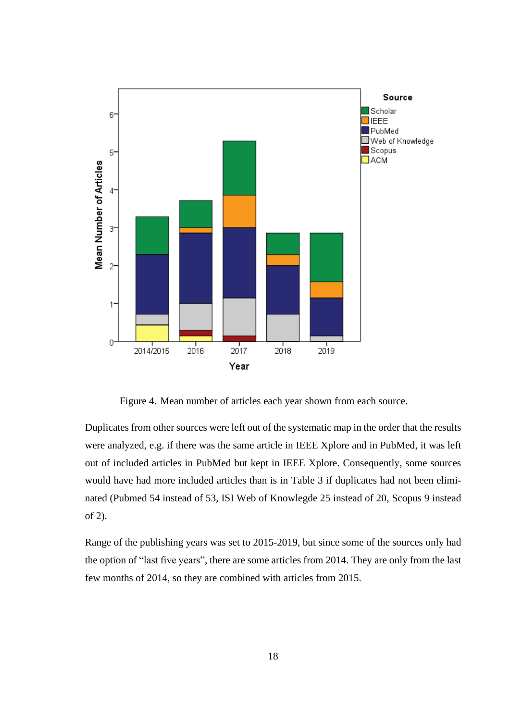

Figure 4. Mean number of articles each year shown from each source.

<span id="page-22-0"></span>Duplicates from other sources were left out of the systematic map in the order that the results were analyzed, e.g. if there was the same article in IEEE Xplore and in PubMed, it was left out of included articles in PubMed but kept in IEEE Xplore. Consequently, some sources would have had more included articles than is in Table 3 if duplicates had not been eliminated (Pubmed 54 instead of 53, ISI Web of Knowlegde 25 instead of 20, Scopus 9 instead of 2).

Range of the publishing years was set to 2015-2019, but since some of the sources only had the option of "last five years", there are some articles from 2014. They are only from the last few months of 2014, so they are combined with articles from 2015.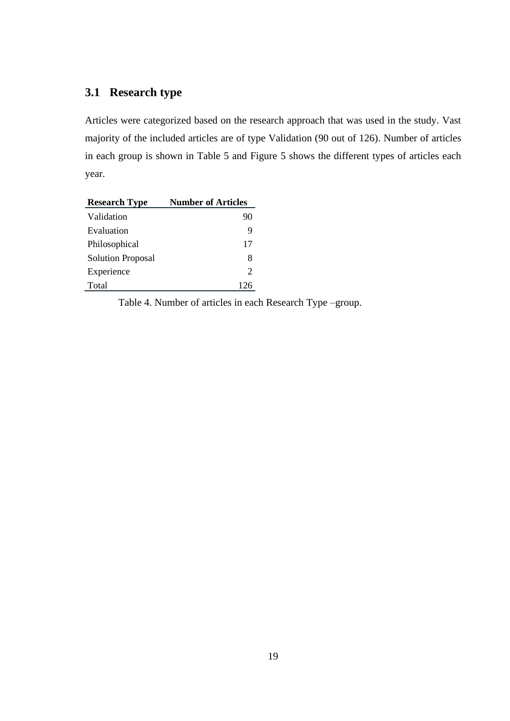## <span id="page-23-0"></span>**3.1 Research type**

Articles were categorized based on the research approach that was used in the study. Vast majority of the included articles are of type Validation (90 out of 126). Number of articles in each group is shown in Table 5 and Figure 5 shows the different types of articles each year.

| <b>Research Type</b>     | <b>Number of Articles</b> |
|--------------------------|---------------------------|
| Validation               | 90                        |
| Evaluation               | 9                         |
| Philosophical            | 17                        |
| <b>Solution Proposal</b> | 8                         |
| Experience               | $\mathcal{D}_{\cdot}$     |
| Total                    | 126                       |

Table 4. Number of articles in each Research Type –group.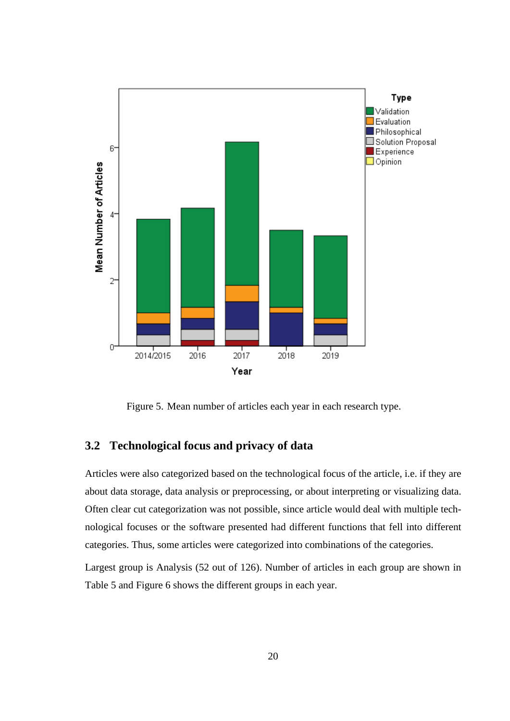

Figure 5. Mean number of articles each year in each research type.

#### <span id="page-24-1"></span><span id="page-24-0"></span>**3.2 Technological focus and privacy of data**

Articles were also categorized based on the technological focus of the article, i.e. if they are about data storage, data analysis or preprocessing, or about interpreting or visualizing data. Often clear cut categorization was not possible, since article would deal with multiple technological focuses or the software presented had different functions that fell into different categories. Thus, some articles were categorized into combinations of the categories.

Largest group is Analysis (52 out of 126). Number of articles in each group are shown in Table 5 and Figure 6 shows the different groups in each year.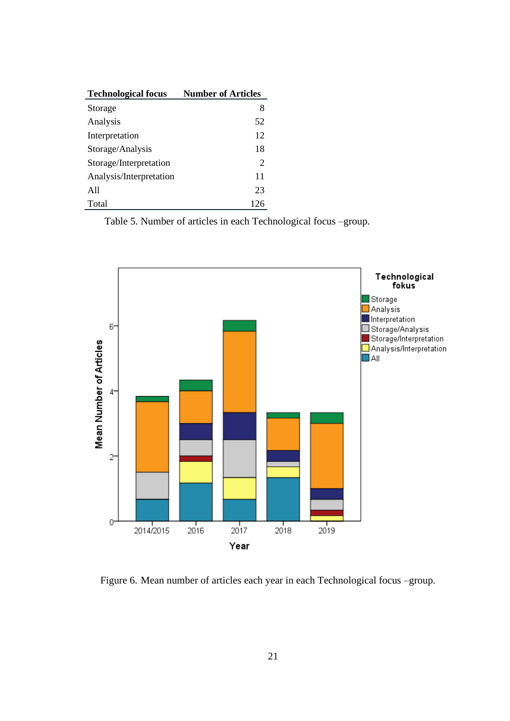| <b>Technological focus</b> | <b>Number of Articles</b> |
|----------------------------|---------------------------|
| Storage                    | 8                         |
| Analysis                   | 52                        |
| Interpretation             | 12                        |
| Storage/Analysis           | 18                        |
| Storage/Interpretation     | 2                         |
| Analysis/Interpretation    | 11                        |
| A11                        | 23                        |
| Total                      | 126                       |

Table 5. Number of articles in each Technological focus –group.



<span id="page-25-0"></span>Figure 6. Mean number of articles each year in each Technological focus –group.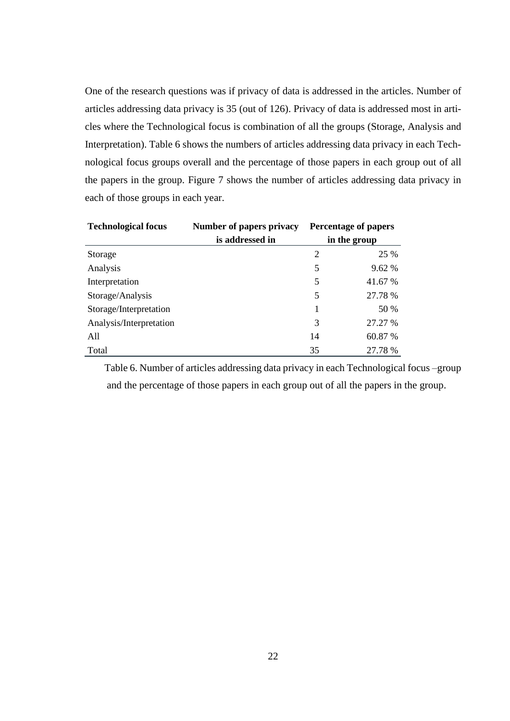One of the research questions was if privacy of data is addressed in the articles. Number of articles addressing data privacy is 35 (out of 126). Privacy of data is addressed most in articles where the Technological focus is combination of all the groups (Storage, Analysis and Interpretation). Table 6 shows the numbers of articles addressing data privacy in each Technological focus groups overall and the percentage of those papers in each group out of all the papers in the group. Figure 7 shows the number of articles addressing data privacy in each of those groups in each year.

| <b>Technological focus</b> | Number of papers privacy |                | <b>Percentage of papers</b> |
|----------------------------|--------------------------|----------------|-----------------------------|
|                            | is addressed in          |                | in the group                |
| Storage                    |                          | $\overline{2}$ | 25 %                        |
| Analysis                   |                          | 5              | 9.62 %                      |
| Interpretation             |                          | 5              | 41.67 %                     |
| Storage/Analysis           |                          | 5              | 27.78 %                     |
| Storage/Interpretation     |                          | 1              | 50 %                        |
| Analysis/Interpretation    |                          | 3              | 27.27 %                     |
| All                        |                          | 14             | 60.87 %                     |
| Total                      |                          | 35             | 27.78 %                     |

Table 6. Number of articles addressing data privacy in each Technological focus –group and the percentage of those papers in each group out of all the papers in the group.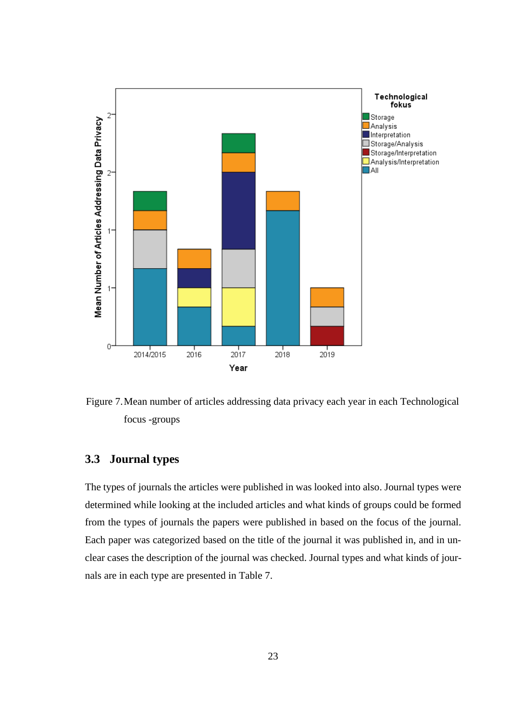

<span id="page-27-0"></span>Figure 7.Mean number of articles addressing data privacy each year in each Technological focus -groups

### <span id="page-27-1"></span>**3.3 Journal types**

The types of journals the articles were published in was looked into also. Journal types were determined while looking at the included articles and what kinds of groups could be formed from the types of journals the papers were published in based on the focus of the journal. Each paper was categorized based on the title of the journal it was published in, and in unclear cases the description of the journal was checked. Journal types and what kinds of journals are in each type are presented in Table 7.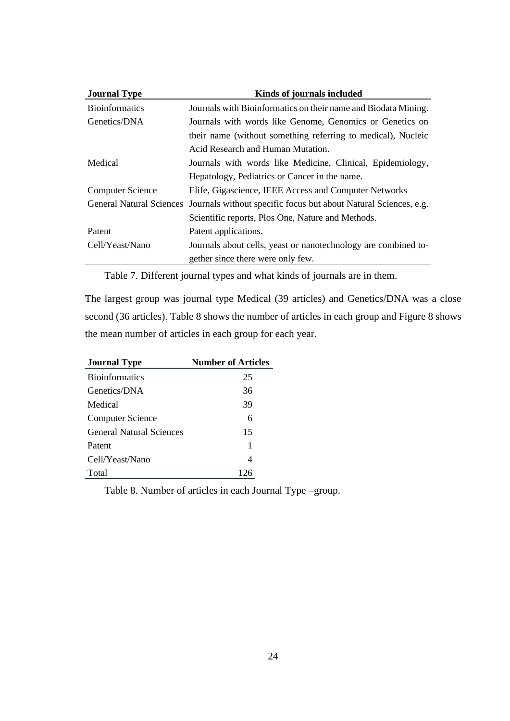| <b>Journal Type</b>     | Kinds of journals included                                                                |
|-------------------------|-------------------------------------------------------------------------------------------|
| <b>Bioinformatics</b>   | Journals with Bioinformatics on their name and Biodata Mining.                            |
| Genetics/DNA            | Journals with words like Genome, Genomics or Genetics on                                  |
|                         | their name (without something referring to medical), Nucleic                              |
|                         | Acid Research and Human Mutation.                                                         |
| Medical                 | Journals with words like Medicine, Clinical, Epidemiology,                                |
|                         | Hepatology, Pediatrics or Cancer in the name.                                             |
| <b>Computer Science</b> | Elife, Gigascience, IEEE Access and Computer Networks                                     |
|                         | General Natural Sciences Journals without specific focus but about Natural Sciences, e.g. |
|                         | Scientific reports, Plos One, Nature and Methods.                                         |
| Patent                  | Patent applications.                                                                      |
| Cell/Yeast/Nano         | Journals about cells, yeast or nanotechnology are combined to-                            |
|                         | gether since there were only few.                                                         |

Table 7. Different journal types and what kinds of journals are in them.

The largest group was journal type Medical (39 articles) and Genetics/DNA was a close second (36 articles). Table 8 shows the number of articles in each group and Figure 8 shows the mean number of articles in each group for each year.

| <b>Journal Type</b>             | <b>Number of Articles</b> |
|---------------------------------|---------------------------|
| <b>Bioinformatics</b>           | 25                        |
| Genetics/DNA                    | 36                        |
| Medical                         | 39                        |
| <b>Computer Science</b>         | 6                         |
| <b>General Natural Sciences</b> | 15                        |
| Patent                          | 1                         |
| Cell/Yeast/Nano                 | 4                         |
| Total                           | 126                       |

Table 8. Number of articles in each Journal Type –group.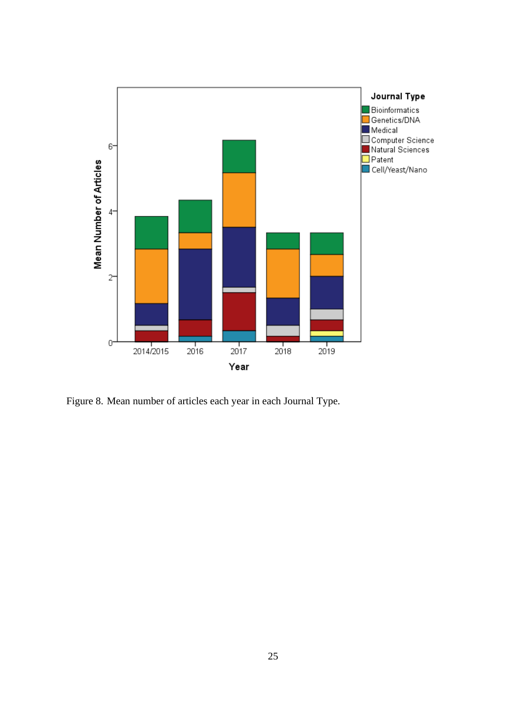

<span id="page-29-0"></span>Figure 8. Mean number of articles each year in each Journal Type.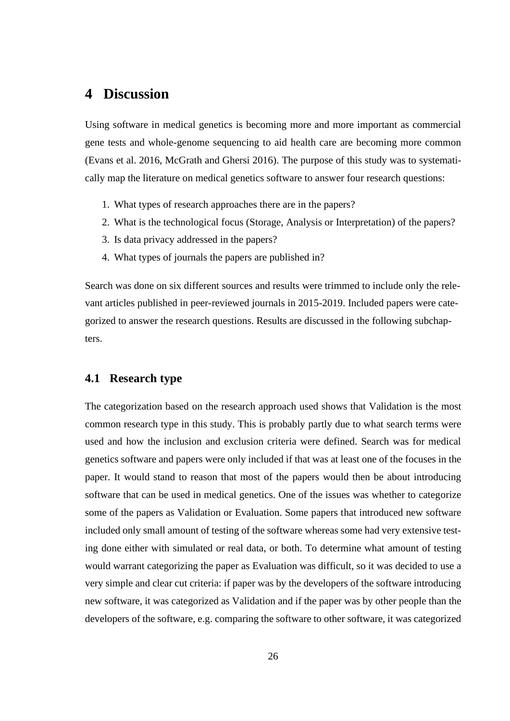### <span id="page-30-0"></span>**4 Discussion**

Using software in medical genetics is becoming more and more important as commercial gene tests and whole-genome sequencing to aid health care are becoming more common (Evans et al. 2016, McGrath and Ghersi 2016). The purpose of this study was to systematically map the literature on medical genetics software to answer four research questions:

- 1. What types of research approaches there are in the papers?
- 2. What is the technological focus (Storage, Analysis or Interpretation) of the papers?
- 3. Is data privacy addressed in the papers?
- 4. What types of journals the papers are published in?

Search was done on six different sources and results were trimmed to include only the relevant articles published in peer-reviewed journals in 2015-2019. Included papers were categorized to answer the research questions. Results are discussed in the following subchapters.

#### <span id="page-30-1"></span>**4.1 Research type**

The categorization based on the research approach used shows that Validation is the most common research type in this study. This is probably partly due to what search terms were used and how the inclusion and exclusion criteria were defined. Search was for medical genetics software and papers were only included if that was at least one of the focuses in the paper. It would stand to reason that most of the papers would then be about introducing software that can be used in medical genetics. One of the issues was whether to categorize some of the papers as Validation or Evaluation. Some papers that introduced new software included only small amount of testing of the software whereas some had very extensive testing done either with simulated or real data, or both. To determine what amount of testing would warrant categorizing the paper as Evaluation was difficult, so it was decided to use a very simple and clear cut criteria: if paper was by the developers of the software introducing new software, it was categorized as Validation and if the paper was by other people than the developers of the software, e.g. comparing the software to other software, it was categorized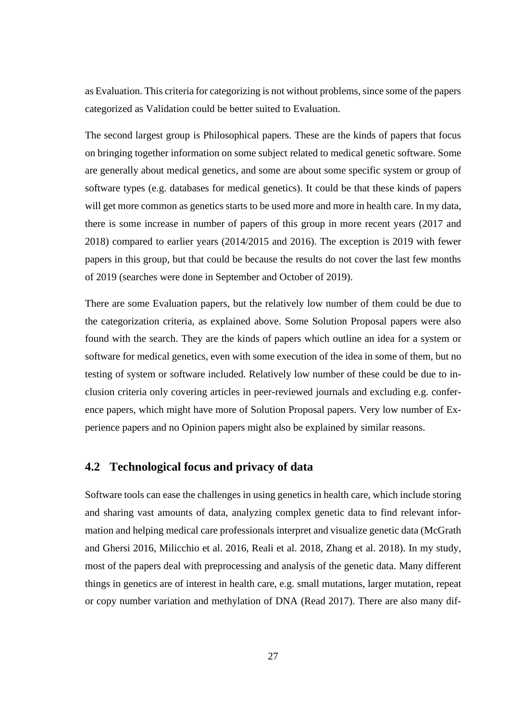as Evaluation. This criteria for categorizing is not without problems, since some of the papers categorized as Validation could be better suited to Evaluation.

The second largest group is Philosophical papers. These are the kinds of papers that focus on bringing together information on some subject related to medical genetic software. Some are generally about medical genetics, and some are about some specific system or group of software types (e.g. databases for medical genetics). It could be that these kinds of papers will get more common as genetics starts to be used more and more in health care. In my data, there is some increase in number of papers of this group in more recent years (2017 and 2018) compared to earlier years (2014/2015 and 2016). The exception is 2019 with fewer papers in this group, but that could be because the results do not cover the last few months of 2019 (searches were done in September and October of 2019).

There are some Evaluation papers, but the relatively low number of them could be due to the categorization criteria, as explained above. Some Solution Proposal papers were also found with the search. They are the kinds of papers which outline an idea for a system or software for medical genetics, even with some execution of the idea in some of them, but no testing of system or software included. Relatively low number of these could be due to inclusion criteria only covering articles in peer-reviewed journals and excluding e.g. conference papers, which might have more of Solution Proposal papers. Very low number of Experience papers and no Opinion papers might also be explained by similar reasons.

#### <span id="page-31-0"></span>**4.2 Technological focus and privacy of data**

Software tools can ease the challenges in using genetics in health care, which include storing and sharing vast amounts of data, analyzing complex genetic data to find relevant information and helping medical care professionals interpret and visualize genetic data (McGrath and Ghersi 2016, Milicchio et al. 2016, Reali et al. 2018, Zhang et al. 2018). In my study, most of the papers deal with preprocessing and analysis of the genetic data. Many different things in genetics are of interest in health care, e.g. small mutations, larger mutation, repeat or copy number variation and methylation of DNA (Read 2017). There are also many dif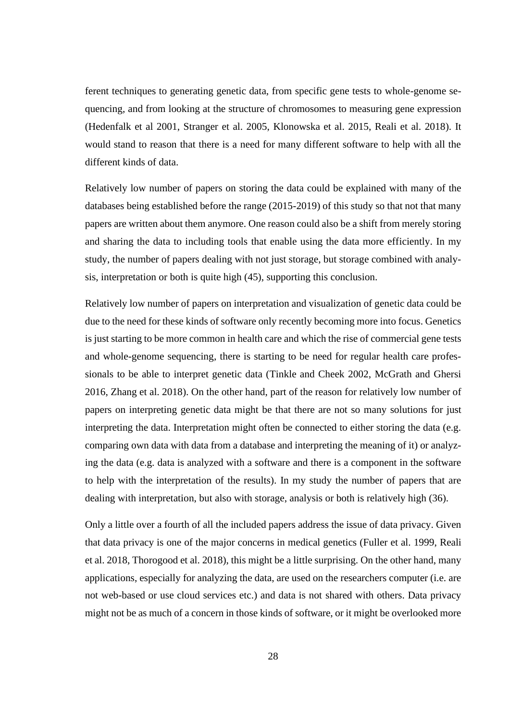ferent techniques to generating genetic data, from specific gene tests to whole-genome sequencing, and from looking at the structure of chromosomes to measuring gene expression (Hedenfalk et al 2001, Stranger et al. 2005, Klonowska et al. 2015, Reali et al. 2018). It would stand to reason that there is a need for many different software to help with all the different kinds of data.

Relatively low number of papers on storing the data could be explained with many of the databases being established before the range (2015-2019) of this study so that not that many papers are written about them anymore. One reason could also be a shift from merely storing and sharing the data to including tools that enable using the data more efficiently. In my study, the number of papers dealing with not just storage, but storage combined with analysis, interpretation or both is quite high (45), supporting this conclusion.

Relatively low number of papers on interpretation and visualization of genetic data could be due to the need for these kinds of software only recently becoming more into focus. Genetics is just starting to be more common in health care and which the rise of commercial gene tests and whole-genome sequencing, there is starting to be need for regular health care professionals to be able to interpret genetic data (Tinkle and Cheek 2002, McGrath and Ghersi 2016, Zhang et al. 2018). On the other hand, part of the reason for relatively low number of papers on interpreting genetic data might be that there are not so many solutions for just interpreting the data. Interpretation might often be connected to either storing the data (e.g. comparing own data with data from a database and interpreting the meaning of it) or analyzing the data (e.g. data is analyzed with a software and there is a component in the software to help with the interpretation of the results). In my study the number of papers that are dealing with interpretation, but also with storage, analysis or both is relatively high (36).

Only a little over a fourth of all the included papers address the issue of data privacy. Given that data privacy is one of the major concerns in medical genetics (Fuller et al. 1999, Reali et al. 2018, Thorogood et al. 2018), this might be a little surprising. On the other hand, many applications, especially for analyzing the data, are used on the researchers computer (i.e. are not web-based or use cloud services etc.) and data is not shared with others. Data privacy might not be as much of a concern in those kinds of software, or it might be overlooked more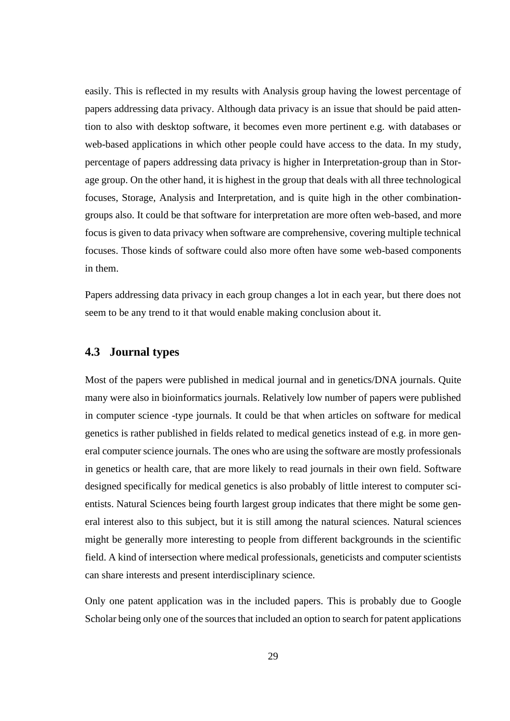easily. This is reflected in my results with Analysis group having the lowest percentage of papers addressing data privacy. Although data privacy is an issue that should be paid attention to also with desktop software, it becomes even more pertinent e.g. with databases or web-based applications in which other people could have access to the data. In my study, percentage of papers addressing data privacy is higher in Interpretation-group than in Storage group. On the other hand, it is highest in the group that deals with all three technological focuses, Storage, Analysis and Interpretation, and is quite high in the other combinationgroups also. It could be that software for interpretation are more often web-based, and more focus is given to data privacy when software are comprehensive, covering multiple technical focuses. Those kinds of software could also more often have some web-based components in them.

Papers addressing data privacy in each group changes a lot in each year, but there does not seem to be any trend to it that would enable making conclusion about it.

#### <span id="page-33-0"></span>**4.3 Journal types**

Most of the papers were published in medical journal and in genetics/DNA journals. Quite many were also in bioinformatics journals. Relatively low number of papers were published in computer science -type journals. It could be that when articles on software for medical genetics is rather published in fields related to medical genetics instead of e.g. in more general computer science journals. The ones who are using the software are mostly professionals in genetics or health care, that are more likely to read journals in their own field. Software designed specifically for medical genetics is also probably of little interest to computer scientists. Natural Sciences being fourth largest group indicates that there might be some general interest also to this subject, but it is still among the natural sciences. Natural sciences might be generally more interesting to people from different backgrounds in the scientific field. A kind of intersection where medical professionals, geneticists and computer scientists can share interests and present interdisciplinary science.

Only one patent application was in the included papers. This is probably due to Google Scholar being only one of the sources that included an option to search for patent applications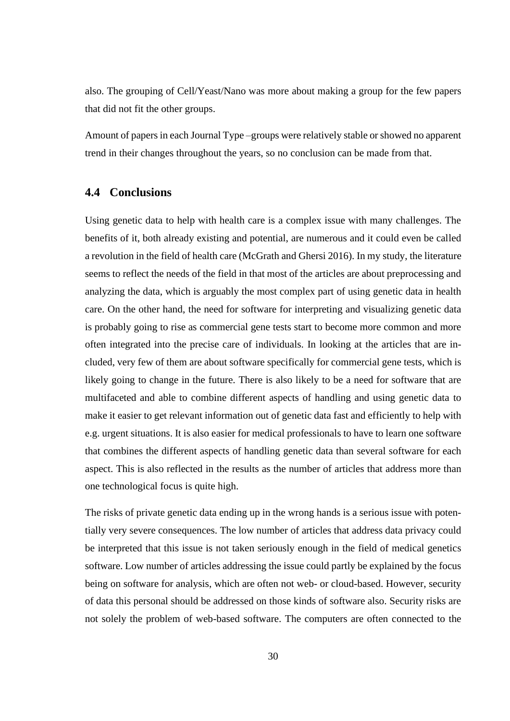also. The grouping of Cell/Yeast/Nano was more about making a group for the few papers that did not fit the other groups.

Amount of papers in each Journal Type –groups were relatively stable or showed no apparent trend in their changes throughout the years, so no conclusion can be made from that.

#### <span id="page-34-0"></span>**4.4 Conclusions**

Using genetic data to help with health care is a complex issue with many challenges. The benefits of it, both already existing and potential, are numerous and it could even be called a revolution in the field of health care (McGrath and Ghersi 2016). In my study, the literature seems to reflect the needs of the field in that most of the articles are about preprocessing and analyzing the data, which is arguably the most complex part of using genetic data in health care. On the other hand, the need for software for interpreting and visualizing genetic data is probably going to rise as commercial gene tests start to become more common and more often integrated into the precise care of individuals. In looking at the articles that are included, very few of them are about software specifically for commercial gene tests, which is likely going to change in the future. There is also likely to be a need for software that are multifaceted and able to combine different aspects of handling and using genetic data to make it easier to get relevant information out of genetic data fast and efficiently to help with e.g. urgent situations. It is also easier for medical professionals to have to learn one software that combines the different aspects of handling genetic data than several software for each aspect. This is also reflected in the results as the number of articles that address more than one technological focus is quite high.

The risks of private genetic data ending up in the wrong hands is a serious issue with potentially very severe consequences. The low number of articles that address data privacy could be interpreted that this issue is not taken seriously enough in the field of medical genetics software. Low number of articles addressing the issue could partly be explained by the focus being on software for analysis, which are often not web- or cloud-based. However, security of data this personal should be addressed on those kinds of software also. Security risks are not solely the problem of web-based software. The computers are often connected to the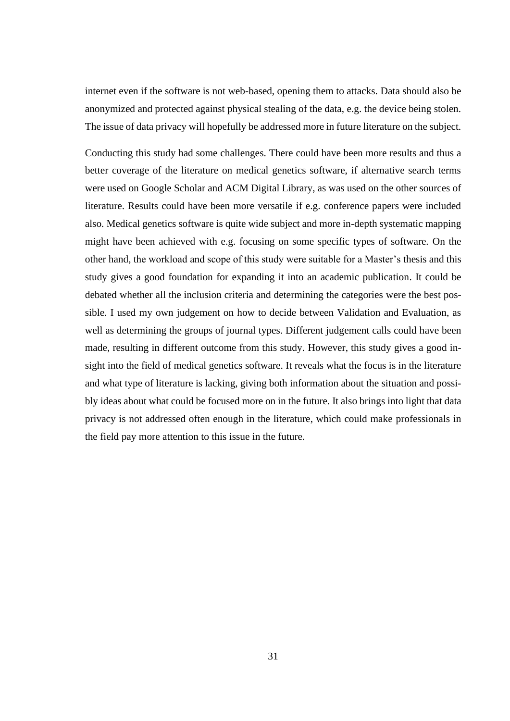internet even if the software is not web-based, opening them to attacks. Data should also be anonymized and protected against physical stealing of the data, e.g. the device being stolen. The issue of data privacy will hopefully be addressed more in future literature on the subject.

Conducting this study had some challenges. There could have been more results and thus a better coverage of the literature on medical genetics software, if alternative search terms were used on Google Scholar and ACM Digital Library, as was used on the other sources of literature. Results could have been more versatile if e.g. conference papers were included also. Medical genetics software is quite wide subject and more in-depth systematic mapping might have been achieved with e.g. focusing on some specific types of software. On the other hand, the workload and scope of this study were suitable for a Master's thesis and this study gives a good foundation for expanding it into an academic publication. It could be debated whether all the inclusion criteria and determining the categories were the best possible. I used my own judgement on how to decide between Validation and Evaluation, as well as determining the groups of journal types. Different judgement calls could have been made, resulting in different outcome from this study. However, this study gives a good insight into the field of medical genetics software. It reveals what the focus is in the literature and what type of literature is lacking, giving both information about the situation and possibly ideas about what could be focused more on in the future. It also brings into light that data privacy is not addressed often enough in the literature, which could make professionals in the field pay more attention to this issue in the future.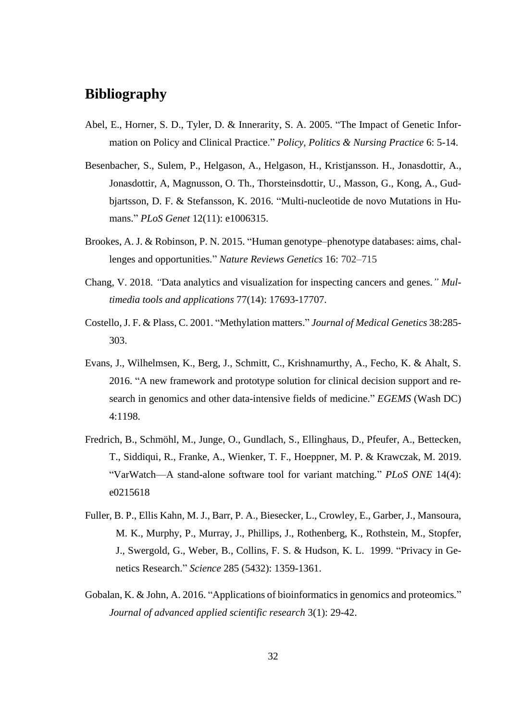## <span id="page-36-0"></span>**Bibliography**

- Abel, E., Horner, S. D., Tyler, D. & Innerarity, S. A. 2005. "The Impact of Genetic Information on Policy and Clinical Practice." *Policy, Politics & Nursing Practice* 6: 5-14.
- Besenbacher, S., Sulem, P., Helgason, A., Helgason, H., Kristjansson. H., Jonasdottir, A., Jonasdottir, A, Magnusson, O. Th., Thorsteinsdottir, U., Masson, G., Kong, A., Gudbjartsson, D. F. & Stefansson, K. 2016. "Multi-nucleotide de novo Mutations in Humans." *PLoS Genet* 12(11): e1006315.
- Brookes, A. J. & Robinson, P. N. 2015. "Human genotype–phenotype databases: aims, challenges and opportunities." *Nature Reviews Genetics* 16: 702–715
- Chang, V. 2018. *"*Data analytics and visualization for inspecting cancers and genes*." Multimedia tools and applications* 77(14): 17693-17707.
- Costello, J. F. & Plass, C. 2001. "Methylation matters." *Journal of Medical Genetics* 38:285- 303.
- Evans, J., Wilhelmsen, K., Berg, J., Schmitt, C., Krishnamurthy, A., Fecho, K. & Ahalt, S. 2016. "A new framework and prototype solution for clinical decision support and research in genomics and other data-intensive fields of medicine." *EGEMS* (Wash DC) 4:1198.
- Fredrich, B., Schmöhl, M., Junge, O., Gundlach, S., Ellinghaus, D., Pfeufer, A., Bettecken, T., Siddiqui, R., Franke, A., Wienker, T. F., Hoeppner, M. P. & Krawczak, M. 2019. "VarWatch—A stand-alone software tool for variant matching." *PLoS ONE* 14(4): e0215618
- Fuller, B. P., Ellis Kahn, M. J., Barr, P. A., Biesecker, L., Crowley, E., Garber, J., Mansoura, M. K., Murphy, P., Murray, J., Phillips, J., Rothenberg, K., Rothstein, M., Stopfer, J., Swergold, G., Weber, B., Collins, F. S. & Hudson, K. L. 1999. "Privacy in Genetics Research." *Science* 285 (5432): 1359-1361.
- Gobalan, K. & John, A. 2016. "Applications of bioinformatics in genomics and proteomics*.*" *Journal of advanced applied scientific research* 3(1): 29-42.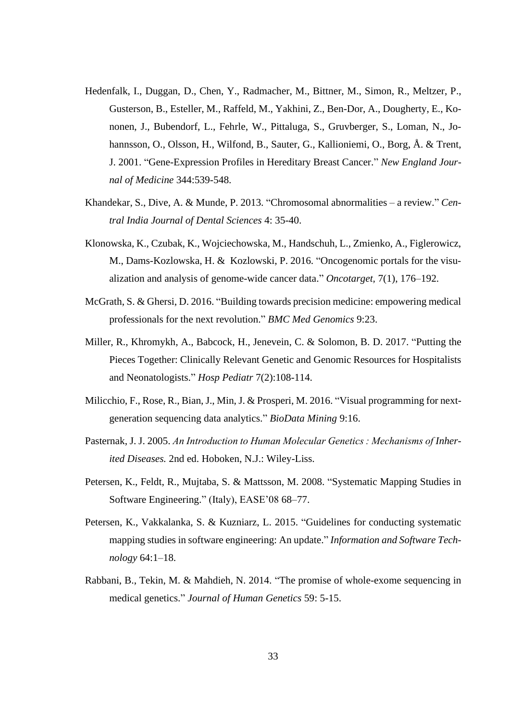- Hedenfalk, I., Duggan, D., Chen, Y., Radmacher, M., Bittner, M., Simon, R., Meltzer, P., Gusterson, B., Esteller, M., Raffeld, M., Yakhini, Z., Ben-Dor, A., Dougherty, E., Kononen, J., Bubendorf, L., Fehrle, W., Pittaluga, S., Gruvberger, S., Loman, N., Johannsson, O., Olsson, H., Wilfond, B., Sauter, G., Kallioniemi, O., Borg, Å. & Trent, J. 2001. "Gene-Expression Profiles in Hereditary Breast Cancer." *New England Journal of Medicine* 344:539-548.
- Khandekar, S., Dive, A. & Munde, P. 2013. "Chromosomal abnormalities a review." *Central India Journal of Dental Sciences* 4: 35-40.
- Klonowska, K., Czubak, K., Wojciechowska, M., Handschuh, L., Zmienko, A., Figlerowicz, M., Dams-Kozlowska, H. & Kozlowski, P. 2016. "Oncogenomic portals for the visualization and analysis of genome-wide cancer data." *Oncotarget,* 7(1), 176–192.
- McGrath, S. & Ghersi, D. 2016. "Building towards precision medicine: empowering medical professionals for the next revolution." *BMC Med Genomics* 9:23.
- Miller, R., Khromykh, A., Babcock, H., Jenevein, C. & Solomon, B. D. 2017. "Putting the Pieces Together: Clinically Relevant Genetic and Genomic Resources for Hospitalists and Neonatologists." *Hosp Pediatr* 7(2):108-114.
- Milicchio, F., Rose, R., Bian, J., Min, J. & Prosperi, M. 2016. "Visual programming for nextgeneration sequencing data analytics." *BioData Mining* 9:16.
- Pasternak, J. J. 2005. *An Introduction to Human Molecular Genetics : Mechanisms of Inherited Diseases.* 2nd ed. Hoboken, N.J.: Wiley-Liss.
- Petersen, K., Feldt, R., Mujtaba, S. & Mattsson, M. 2008. "Systematic Mapping Studies in Software Engineering." (Italy), EASE'08 68–77.
- Petersen, K., Vakkalanka, S. & Kuzniarz, L. 2015. "Guidelines for conducting systematic mapping studies in software engineering: An update." *Information and Software Technology* 64:1–18.
- Rabbani, B., Tekin, M. & Mahdieh, N. 2014. "The promise of whole-exome sequencing in medical genetics." *Journal of Human Genetics* 59: 5-15.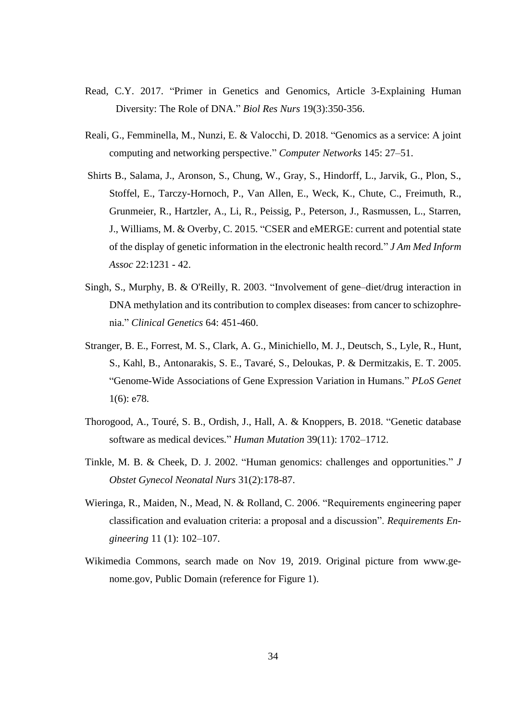- Read, C.Y. 2017. "Primer in Genetics and Genomics, Article 3-Explaining Human Diversity: The Role of DNA." *Biol Res Nurs* 19(3):350-356.
- Reali, G., Femminella, M., Nunzi, E. & Valocchi, D. 2018. "Genomics as a service: A joint computing and networking perspective." *Computer Networks* 145: 27–51.
- Shirts B., Salama, J., Aronson, S., Chung, W., Gray, S., Hindorff, L., Jarvik, G., Plon, S., Stoffel, E., Tarczy-Hornoch, P., Van Allen, E., Weck, K., Chute, C., Freimuth, R., Grunmeier, R., Hartzler, A., Li, R., Peissig, P., Peterson, J., Rasmussen, L., Starren, J., Williams, M. & Overby, C. 2015. "CSER and eMERGE: current and potential state of the display of genetic information in the electronic health record*.*" *J Am Med Inform Assoc* 22:1231 - 42.
- Singh, S., Murphy, B. & O'Reilly, R. 2003. "Involvement of gene–diet/drug interaction in DNA methylation and its contribution to complex diseases: from cancer to schizophrenia." *Clinical Genetics* 64: 451-460.
- Stranger, B. E., Forrest, M. S., Clark, A. G., Minichiello, M. J., Deutsch, S., Lyle, R., Hunt, S., Kahl, B., Antonarakis, S. E., Tavaré, S., Deloukas, P. & Dermitzakis, E. T. 2005. "Genome-Wide Associations of Gene Expression Variation in Humans." *PLoS Genet* 1(6): e78.
- Thorogood, A., Touré, S. B., Ordish, J., Hall, A. & Knoppers, B. 2018. "Genetic database software as medical devices*.*" *Human Mutation* 39(11): 1702–1712.
- Tinkle, M. B. & Cheek, D. J. 2002. "Human genomics: challenges and opportunities." *J Obstet Gynecol Neonatal Nurs* 31(2):178-87.
- Wieringa, R., Maiden, N., Mead, N. & Rolland, C. 2006. "Requirements engineering paper classification and evaluation criteria: a proposal and a discussion". *Requirements Engineering* 11 (1): 102–107.
- Wikimedia Commons, search made on Nov 19, 2019. Original picture from [www.ge](http://www.genome.gov/)[nome.gov,](http://www.genome.gov/) Public Domain (reference for Figure 1).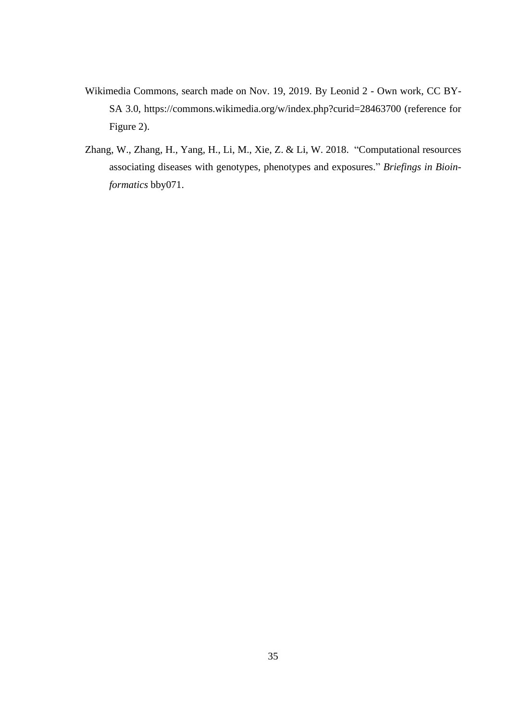- Wikimedia Commons, search made on Nov. 19, 2019. By Leonid 2 Own work, CC BY-SA 3.0,<https://commons.wikimedia.org/w/index.php?curid=28463700> (reference for Figure 2).
- Zhang, W., Zhang, H., Yang, H., Li, M., Xie, Z. & Li, W. 2018. "Computational resources associating diseases with genotypes, phenotypes and exposures." *Briefings in Bioinformatics* bby071.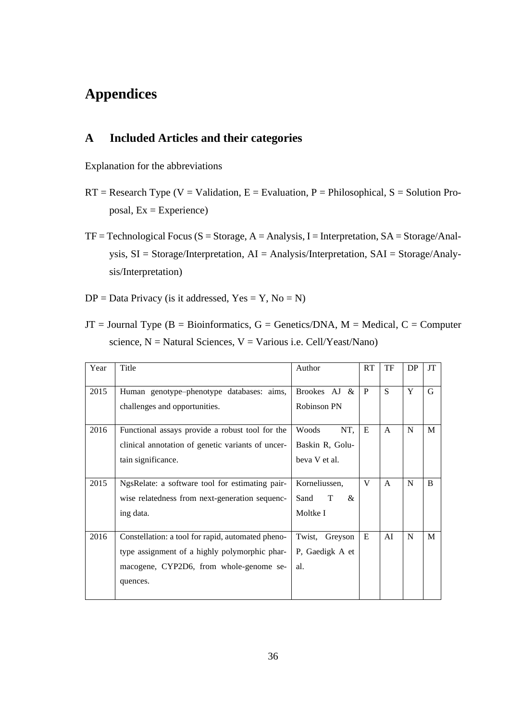## <span id="page-40-0"></span>**Appendices**

#### <span id="page-40-1"></span>**A Included Articles and their categories**

Explanation for the abbreviations

- $RT = Research Type (V = Validation, E = Evaluation, P = Philosophical, S = Solution Pro$ posal, Ex = Experience)
- $TF = Technological Focus (S = Storage, A = Analysis, I = Interpretation, SA = Storage/Anal-<sub>1</sub>)$ ysis, SI = Storage/Interpretation, AI = Analysis/Interpretation, SAI = Storage/Analysis/Interpretation)
- $DP = Data Privacy$  (is it addressed,  $Yes = Y, No = N$ )
- $JT = Journal Type (B = Bioinformatics, G = Genetics/DNA, M = Medical, C = Computer)$ science,  $N =$  Natural Sciences,  $V =$  Various i.e. Cell/Yeast/Nano)

| Year | Title                                             | Author             | RT           | TF           | DP | <b>JT</b>    |
|------|---------------------------------------------------|--------------------|--------------|--------------|----|--------------|
| 2015 | Human genotype-phenotype databases: aims,         | Brookes $AJ &$     | P            | S            | Y  | G            |
|      | challenges and opportunities.                     | <b>Robinson PN</b> |              |              |    |              |
| 2016 | Functional assays provide a robust tool for the   | NT,<br>Woods       | E            | $\mathsf{A}$ | N  | M            |
|      | clinical annotation of genetic variants of uncer- | Baskin R, Golu-    |              |              |    |              |
|      | tain significance.                                | beva V et al.      |              |              |    |              |
|      |                                                   |                    |              |              |    |              |
| 2015 | NgsRelate: a software tool for estimating pair-   | Korneliussen,      | $\mathbf{V}$ | A            | N  | $\mathbf{B}$ |
|      | wise relatedness from next-generation sequenc-    | Sand<br>T<br>&     |              |              |    |              |
|      | ing data.                                         | Moltke I           |              |              |    |              |
|      |                                                   |                    |              |              |    |              |
| 2016 | Constellation: a tool for rapid, automated pheno- | Twist, Greyson     | E            | AI           | N  | M            |
|      | type assignment of a highly polymorphic phar-     | P, Gaedigk A et    |              |              |    |              |
|      | macogene, CYP2D6, from whole-genome se-           | al.                |              |              |    |              |
|      | quences.                                          |                    |              |              |    |              |
|      |                                                   |                    |              |              |    |              |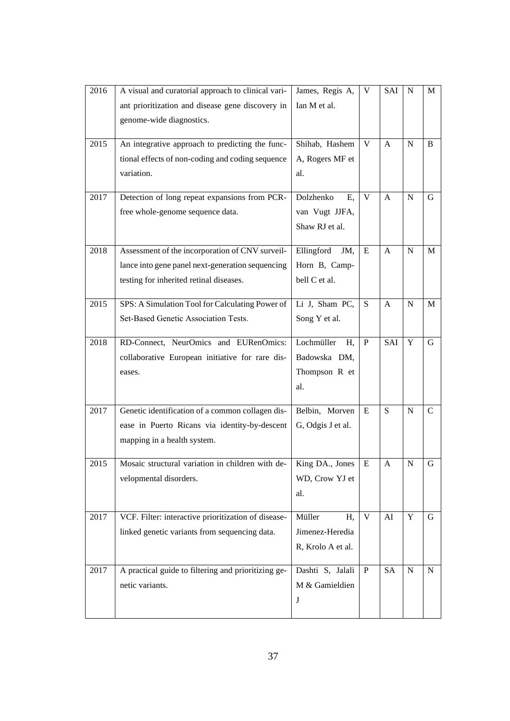| 2016 | A visual and curatorial approach to clinical vari-  | James, Regis A,   | V            | SAI          | N           | M            |
|------|-----------------------------------------------------|-------------------|--------------|--------------|-------------|--------------|
|      | ant prioritization and disease gene discovery in    | Ian M et al.      |              |              |             |              |
|      | genome-wide diagnostics.                            |                   |              |              |             |              |
|      |                                                     |                   |              |              |             |              |
| 2015 | An integrative approach to predicting the func-     | Shihab, Hashem    | V            | A            | N           | B            |
|      | tional effects of non-coding and coding sequence    | A, Rogers MF et   |              |              |             |              |
|      | variation.                                          | al.               |              |              |             |              |
|      |                                                     |                   |              |              |             |              |
| 2017 | Detection of long repeat expansions from PCR-       | Dolzhenko<br>Ε,   | $\mathbf{V}$ | $\mathbf{A}$ | $\mathbf N$ | G            |
|      | free whole-genome sequence data.                    | van Vugt JJFA,    |              |              |             |              |
|      |                                                     | Shaw RJ et al.    |              |              |             |              |
| 2018 | Assessment of the incorporation of CNV surveil-     | Ellingford<br>JM, | E            | A            | $\mathbf N$ | M            |
|      | lance into gene panel next-generation sequencing    | Horn B, Camp-     |              |              |             |              |
|      |                                                     | bell C et al.     |              |              |             |              |
|      | testing for inherited retinal diseases.             |                   |              |              |             |              |
| 2015 | SPS: A Simulation Tool for Calculating Power of     | Li J, Sham PC,    | S            | A            | $\mathbf N$ | $\mathbf{M}$ |
|      | Set-Based Genetic Association Tests.                | Song Y et al.     |              |              |             |              |
|      |                                                     |                   |              |              |             |              |
| 2018 | RD-Connect, NeurOmics and EURenOmics:               | Lochmüller<br>H,  | P            | SAI          | $\mathbf Y$ | G            |
|      | collaborative European initiative for rare dis-     | Badowska DM,      |              |              |             |              |
|      | eases.                                              | Thompson R et     |              |              |             |              |
|      |                                                     | al.               |              |              |             |              |
|      |                                                     |                   |              |              |             |              |
| 2017 | Genetic identification of a common collagen dis-    | Belbin, Morven    | E            | S            | N           | $\mathbf C$  |
|      | ease in Puerto Ricans via identity-by-descent       | G, Odgis J et al. |              |              |             |              |
|      | mapping in a health system.                         |                   |              |              |             |              |
| 2015 |                                                     | King DA., Jones   |              |              |             |              |
|      | Mosaic structural variation in children with de-    |                   | E            | A            | N           | G            |
|      | velopmental disorders.                              | WD, Crow YJ et    |              |              |             |              |
|      |                                                     | al.               |              |              |             |              |
| 2017 | VCF. Filter: interactive prioritization of disease- | Müller<br>H.      | $\mathbf{V}$ | AI           | $\mathbf Y$ | $\mathbf G$  |
|      | linked genetic variants from sequencing data.       | Jimenez-Heredia   |              |              |             |              |
|      |                                                     | R, Krolo A et al. |              |              |             |              |
|      |                                                     |                   |              |              |             |              |
| 2017 | A practical guide to filtering and prioritizing ge- | Dashti S, Jalali  | $\, {\bf P}$ | <b>SA</b>    | ${\bf N}$   | ${\bf N}$    |
|      | netic variants.                                     | M & Gamieldien    |              |              |             |              |
|      |                                                     | J                 |              |              |             |              |
|      |                                                     |                   |              |              |             |              |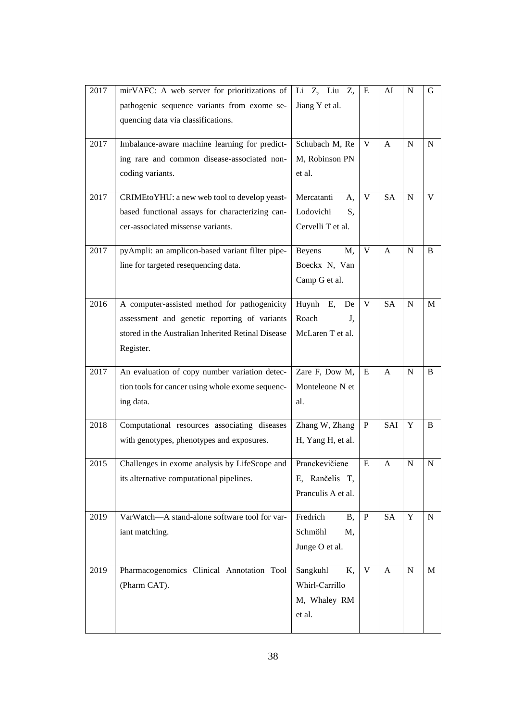| 2017 | mirVAFC: A web server for prioritizations of       | Li Z, Liu Z,           | E            | AI           | N           | G           |
|------|----------------------------------------------------|------------------------|--------------|--------------|-------------|-------------|
|      | pathogenic sequence variants from exome se-        | Jiang Y et al.         |              |              |             |             |
|      | quencing data via classifications.                 |                        |              |              |             |             |
|      |                                                    |                        |              |              |             |             |
| 2017 | Imbalance-aware machine learning for predict-      | Schubach M, Re         | V            | A            | N           | $\mathbf N$ |
|      | ing rare and common disease-associated non-        | M, Robinson PN         |              |              |             |             |
|      | coding variants.                                   | et al.                 |              |              |             |             |
| 2017 |                                                    | Mercatanti             | V            | <b>SA</b>    | $\mathbf N$ | V           |
|      | CRIMEtoYHU: a new web tool to develop yeast-       | A,                     |              |              |             |             |
|      | based functional assays for characterizing can-    | Lodovichi<br>S,        |              |              |             |             |
|      | cer-associated missense variants.                  | Cervelli T et al.      |              |              |             |             |
| 2017 | pyAmpli: an amplicon-based variant filter pipe-    | M,<br><b>Beyens</b>    | V            | $\mathbf{A}$ | $\mathbf N$ | B           |
|      | line for targeted resequencing data.               | Boeckx N, Van          |              |              |             |             |
|      |                                                    | Camp G et al.          |              |              |             |             |
|      |                                                    |                        |              |              |             |             |
| 2016 | A computer-assisted method for pathogenicity       | Huynh E,<br>De         | V            | <b>SA</b>    | $\mathbf N$ | M           |
|      | assessment and genetic reporting of variants       | Roach<br>J.            |              |              |             |             |
|      | stored in the Australian Inherited Retinal Disease | McLaren T et al.       |              |              |             |             |
|      | Register.                                          |                        |              |              |             |             |
|      |                                                    |                        |              |              |             |             |
| 2017 | An evaluation of copy number variation detec-      | Zare F, Dow M,         | E            | $\mathsf{A}$ | N           | B           |
|      | tion tools for cancer using whole exome sequenc-   | Monteleone N et        |              |              |             |             |
|      | ing data.                                          | al.                    |              |              |             |             |
| 2018 | Computational resources associating diseases       | Zhang W, Zhang         | $\mathbf{P}$ | SAI          | Y           | B           |
|      | with genotypes, phenotypes and exposures.          | H, Yang H, et al.      |              |              |             |             |
|      |                                                    |                        |              |              |             |             |
| 2015 | Challenges in exome analysis by LifeScope and      | Pranckevičiene         | E            | A            | N           | N           |
|      | its alternative computational pipelines.           | E, Rančelis T,         |              |              |             |             |
|      |                                                    | Pranculis A et al.     |              |              |             |             |
|      |                                                    |                        |              |              |             |             |
| 2019 | VarWatch-A stand-alone software tool for var-      | Fredrich<br><b>B</b> , | $\mathbf{P}$ | <b>SA</b>    | $\mathbf Y$ | $\mathbf N$ |
|      | iant matching.                                     | Schmöhl<br>M,          |              |              |             |             |
|      |                                                    | Junge O et al.         |              |              |             |             |
| 2019 | Pharmacogenomics Clinical Annotation Tool          | Sangkuhl<br>K,         | V            | $\mathbf{A}$ | ${\bf N}$   | M           |
|      | (Pharm CAT).                                       | Whirl-Carrillo         |              |              |             |             |
|      |                                                    | M, Whaley RM           |              |              |             |             |
|      |                                                    | et al.                 |              |              |             |             |
|      |                                                    |                        |              |              |             |             |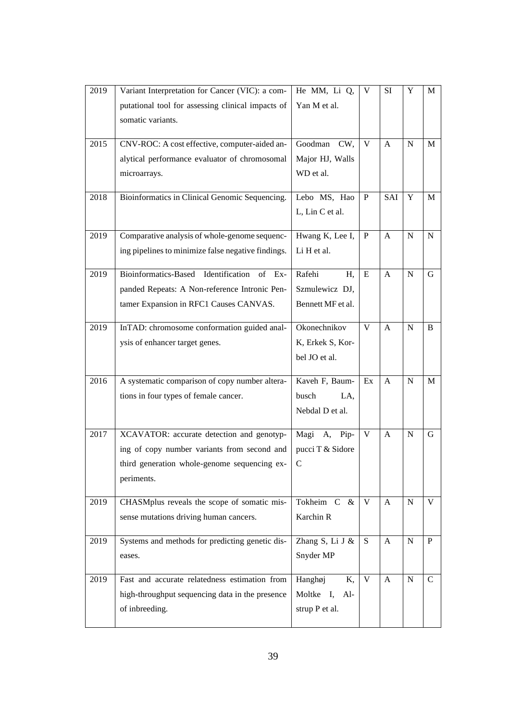| 2019 | Variant Interpretation for Cancer (VIC): a com-    | He MM, Li Q,      | V            | SI           | Y           | M            |
|------|----------------------------------------------------|-------------------|--------------|--------------|-------------|--------------|
|      | putational tool for assessing clinical impacts of  | Yan M et al.      |              |              |             |              |
|      | somatic variants.                                  |                   |              |              |             |              |
|      |                                                    |                   |              |              |             |              |
| 2015 | CNV-ROC: A cost effective, computer-aided an-      | Goodman<br>CW,    | V            | A            | N           | M            |
|      | alytical performance evaluator of chromosomal      | Major HJ, Walls   |              |              |             |              |
|      | microarrays.                                       | WD et al.         |              |              |             |              |
| 2018 | Bioinformatics in Clinical Genomic Sequencing.     | Lebo MS, Hao      | $\mathbf{P}$ | SAI          | Y           | M            |
|      |                                                    | L, Lin C et al.   |              |              |             |              |
|      |                                                    |                   |              |              |             |              |
| 2019 | Comparative analysis of whole-genome sequenc-      | Hwang K, Lee I,   | P            | $\mathbf{A}$ | $\mathbf N$ | $\mathbf N$  |
|      | ing pipelines to minimize false negative findings. | Li H et al.       |              |              |             |              |
|      |                                                    |                   |              |              |             |              |
| 2019 | Bioinformatics-Based Identification<br>$of$ Ex-    | Rafehi<br>H,      | E            | $\mathbf{A}$ | N           | G            |
|      | panded Repeats: A Non-reference Intronic Pen-      | Szmulewicz DJ,    |              |              |             |              |
|      | tamer Expansion in RFC1 Causes CANVAS.             | Bennett MF et al. |              |              |             |              |
| 2019 | InTAD: chromosome conformation guided anal-        | Okonechnikov      | V            | $\mathsf{A}$ | N           | B            |
|      | ysis of enhancer target genes.                     | K, Erkek S, Kor-  |              |              |             |              |
|      |                                                    | bel JO et al.     |              |              |             |              |
|      |                                                    |                   |              |              |             |              |
| 2016 | A systematic comparison of copy number altera-     | Kaveh F, Baum-    | Ex           | $\mathbf{A}$ | N           | M            |
|      | tions in four types of female cancer.              | busch<br>LA,      |              |              |             |              |
|      |                                                    | Nebdal D et al.   |              |              |             |              |
|      |                                                    |                   |              |              |             |              |
| 2017 | XCAVATOR: accurate detection and genotyp-          | Magi A, Pip-      | V            | A            | N           | G            |
|      | ing of copy number variants from second and        | pucci T & Sidore  |              |              |             |              |
|      | third generation whole-genome sequencing ex-       | $\mathcal{C}$     |              |              |             |              |
|      | periments.                                         |                   |              |              |             |              |
| 2019 | CHASMplus reveals the scope of somatic mis-        | Tokheim C &       | V            | $\mathbf{A}$ | $\mathbf N$ | V            |
|      | sense mutations driving human cancers.             | Karchin R         |              |              |             |              |
|      |                                                    |                   |              |              |             |              |
| 2019 | Systems and methods for predicting genetic dis-    | Zhang S, Li J &   | S            | $\mathbf{A}$ | ${\bf N}$   | $\mathbf P$  |
|      | eases.                                             | Snyder MP         |              |              |             |              |
|      |                                                    |                   | V            |              |             |              |
| 2019 | Fast and accurate relatedness estimation from      | Hanghøj<br>K,     |              | $\mathbf{A}$ | ${\bf N}$   | $\mathsf{C}$ |
|      | high-throughput sequencing data in the presence    | Moltke I, Al-     |              |              |             |              |
|      | of inbreeding.                                     | strup P et al.    |              |              |             |              |
|      |                                                    |                   |              |              |             |              |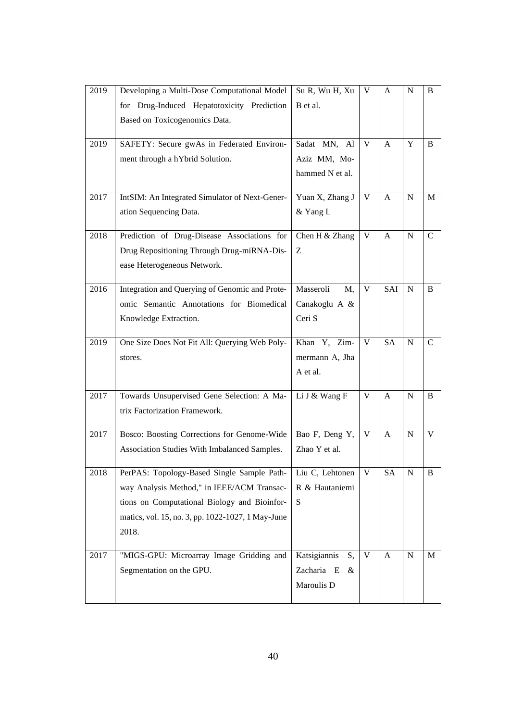| 2019 | Developing a Multi-Dose Computational Model       | Su R, Wu H, Xu     | V | A            | N           | B             |
|------|---------------------------------------------------|--------------------|---|--------------|-------------|---------------|
|      | for Drug-Induced Hepatotoxicity Prediction        | B et al.           |   |              |             |               |
|      | Based on Toxicogenomics Data.                     |                    |   |              |             |               |
|      |                                                   |                    |   |              |             |               |
| 2019 | SAFETY: Secure gwAs in Federated Environ-         | Sadat MN, Al       | V | A            | Y           | B             |
|      | ment through a hYbrid Solution.                   | Aziz MM, Mo-       |   |              |             |               |
|      |                                                   | hammed N et al.    |   |              |             |               |
| 2017 | IntSIM: An Integrated Simulator of Next-Gener-    | Yuan X, Zhang J    | V | A            | N           | M             |
|      |                                                   |                    |   |              |             |               |
|      | ation Sequencing Data.                            | & Yang L           |   |              |             |               |
| 2018 | Prediction of Drug-Disease Associations for       | Chen H & Zhang     | V | A            | N           | $\mathcal{C}$ |
|      | Drug Repositioning Through Drug-miRNA-Dis-        | Ζ                  |   |              |             |               |
|      | ease Heterogeneous Network.                       |                    |   |              |             |               |
|      |                                                   |                    |   |              |             |               |
| 2016 | Integration and Querying of Genomic and Prote-    | Masseroli<br>M,    | V | SAI          | $\mathbf N$ | B             |
|      | omic Semantic Annotations for Biomedical          | Canakoglu A &      |   |              |             |               |
|      | Knowledge Extraction.                             | Ceri S             |   |              |             |               |
|      |                                                   |                    |   |              |             |               |
| 2019 | One Size Does Not Fit All: Querying Web Poly-     | Khan Y, Zim-       | V | <b>SA</b>    | N           | $\mathcal{C}$ |
|      | stores.                                           | mermann A, Jha     |   |              |             |               |
|      |                                                   | A et al.           |   |              |             |               |
| 2017 | Towards Unsupervised Gene Selection: A Ma-        | Li J & Wang F      | V | A            | N           | B             |
|      | trix Factorization Framework.                     |                    |   |              |             |               |
|      |                                                   |                    |   |              |             |               |
| 2017 | Bosco: Boosting Corrections for Genome-Wide       | Bao F, Deng Y,     | V | A            | N           | V             |
|      | Association Studies With Imbalanced Samples.      | Zhao Y et al.      |   |              |             |               |
| 2018 | PerPAS: Topology-Based Single Sample Path-        | Liu C, Lehtonen    | V | SA           | N           | B             |
|      | way Analysis Method," in IEEE/ACM Transac-        | R & Hautaniemi     |   |              |             |               |
|      |                                                   | S                  |   |              |             |               |
|      | tions on Computational Biology and Bioinfor-      |                    |   |              |             |               |
|      | matics, vol. 15, no. 3, pp. 1022-1027, 1 May-June |                    |   |              |             |               |
|      | 2018.                                             |                    |   |              |             |               |
| 2017 | "MIGS-GPU: Microarray Image Gridding and          | Katsigiannis<br>S, | V | $\mathbf{A}$ | N           | M             |
|      | Segmentation on the GPU.                          | Zacharia E<br>&    |   |              |             |               |
|      |                                                   | Maroulis D         |   |              |             |               |
|      |                                                   |                    |   |              |             |               |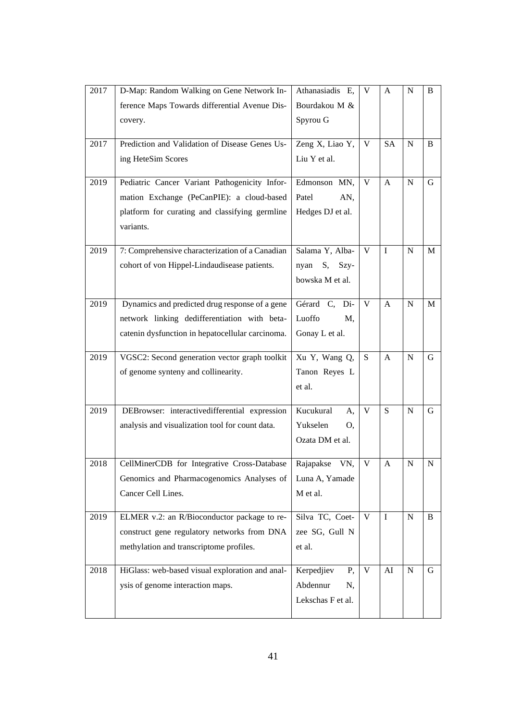| 2017 | D-Map: Random Walking on Gene Network In-        | Athanasiadis E,    | V            | A            | N         | B |
|------|--------------------------------------------------|--------------------|--------------|--------------|-----------|---|
|      | ference Maps Towards differential Avenue Dis-    | Bourdakou M &      |              |              |           |   |
|      | covery.                                          | Spyrou G           |              |              |           |   |
|      |                                                  |                    |              |              |           |   |
| 2017 | Prediction and Validation of Disease Genes Us-   | Zeng X, Liao Y,    | V            | <b>SA</b>    | N         | B |
|      | ing HeteSim Scores                               | Liu Y et al.       |              |              |           |   |
| 2019 | Pediatric Cancer Variant Pathogenicity Infor-    | Edmonson MN,       | V            | $\mathbf{A}$ | N         | G |
|      | mation Exchange (PeCanPIE): a cloud-based        | Patel<br>AN,       |              |              |           |   |
|      | platform for curating and classifying germline   | Hedges DJ et al.   |              |              |           |   |
|      | variants.                                        |                    |              |              |           |   |
|      |                                                  |                    |              |              |           |   |
| 2019 | 7: Comprehensive characterization of a Canadian  | Salama Y, Alba-    | V            | I            | N         | M |
|      | cohort of von Hippel-Lindaudisease patients.     | nyan<br>S,<br>Szy- |              |              |           |   |
|      |                                                  | bowska M et al.    |              |              |           |   |
| 2019 | Dynamics and predicted drug response of a gene   | Gérard C, Di-      | V            | A            | N         | M |
|      | network linking dedifferentiation with beta-     | Luoffo<br>M,       |              |              |           |   |
|      | catenin dysfunction in hepatocellular carcinoma. | Gonay L et al.     |              |              |           |   |
|      |                                                  |                    |              |              |           |   |
| 2019 | VGSC2: Second generation vector graph toolkit    | Xu Y, Wang Q,      | S.           | A            | N         | G |
|      | of genome synteny and collinearity.              |                    |              |              |           |   |
|      |                                                  | Tanon Reyes L      |              |              |           |   |
|      |                                                  | et al.             |              |              |           |   |
|      |                                                  |                    |              |              |           |   |
| 2019 | DEBrowser: interactivedifferential expression    | Kucukural<br>A,    | $\mathbf{V}$ | S            | N         | G |
|      | analysis and visualization tool for count data.  | Yukselen<br>O,     |              |              |           |   |
|      |                                                  | Ozata DM et al.    |              |              |           |   |
| 2018 | CellMinerCDB for Integrative Cross-Database      | VN,<br>Rajapakse   | V            | A            | N         | N |
|      | Genomics and Pharmacogenomics Analyses of        | Luna A, Yamade     |              |              |           |   |
|      | Cancer Cell Lines.                               | M et al.           |              |              |           |   |
|      |                                                  |                    |              |              |           |   |
| 2019 | ELMER v.2: an R/Bioconductor package to re-      | Silva TC, Coet-    | V            | $\mathbf I$  | N         | B |
|      | construct gene regulatory networks from DNA      | zee SG, Gull N     |              |              |           |   |
|      | methylation and transcriptome profiles.          | et al.             |              |              |           |   |
| 2018 | HiGlass: web-based visual exploration and anal-  | Kerpedjiev<br>Ρ,   | V            | AI           | ${\bf N}$ | G |
|      | ysis of genome interaction maps.                 | Abdennur<br>N,     |              |              |           |   |
|      |                                                  | Lekschas F et al.  |              |              |           |   |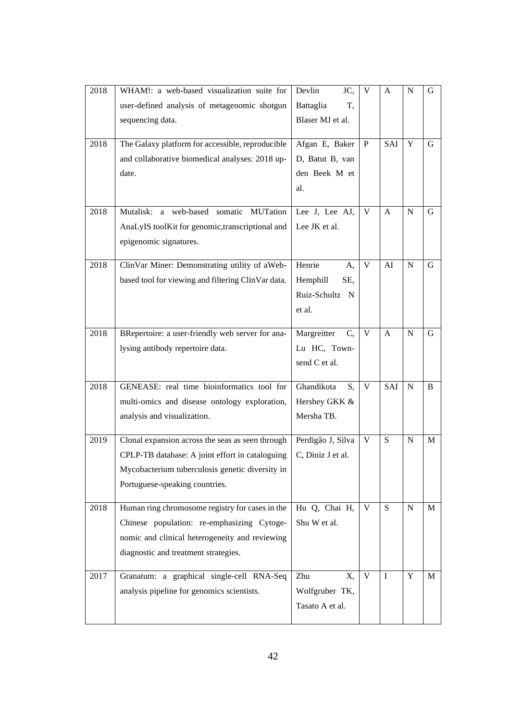| 2018 | WHAM!: a web-based visualization suite for         | Devlin<br>JC,     | V            | A            | N           | G |
|------|----------------------------------------------------|-------------------|--------------|--------------|-------------|---|
|      | user-defined analysis of metagenomic shotgun       | Battaglia<br>T,   |              |              |             |   |
|      | sequencing data.                                   | Blaser MJ et al.  |              |              |             |   |
|      |                                                    |                   |              |              |             |   |
| 2018 | The Galaxy platform for accessible, reproducible   | Afgan E, Baker    | $\mathbf{P}$ | SAI          | Y           | G |
|      | and collaborative biomedical analyses: 2018 up-    | D, Batut B, van   |              |              |             |   |
|      | date.                                              | den Beek M et     |              |              |             |   |
|      |                                                    | al.               |              |              |             |   |
| 2018 | Mutalisk: a web-based somatic MUTation             | Lee J, Lee AJ,    | V            | A            | $\mathbf N$ | G |
|      | AnaLyIS toolKit for genomic, transcriptional and   | Lee JK et al.     |              |              |             |   |
|      |                                                    |                   |              |              |             |   |
|      | epigenomic signatures.                             |                   |              |              |             |   |
| 2018 | ClinVar Miner: Demonstrating utility of aWeb-      | Henrie<br>A,      | V            | AI           | N           | G |
|      | based tool for viewing and filtering ClinVar data. | Hemphill<br>SE,   |              |              |             |   |
|      |                                                    | Ruiz-Schultz N    |              |              |             |   |
|      |                                                    | et al.            |              |              |             |   |
|      |                                                    |                   |              |              |             |   |
| 2018 | BRepertoire: a user-friendly web server for ana-   | Margreitter<br>C, | V            | $\mathbf{A}$ | N           | G |
|      | lysing antibody repertoire data.                   | Lu HC, Town-      |              |              |             |   |
|      |                                                    | send C et al.     |              |              |             |   |
| 2018 | GENEASE: real time bioinformatics tool for         | Ghandikota<br>S,  | V            | SAI          | $\mathbf N$ | B |
|      |                                                    | Hershey GKK &     |              |              |             |   |
|      | multi-omics and disease ontology exploration,      | Mersha TB.        |              |              |             |   |
|      | analysis and visualization.                        |                   |              |              |             |   |
| 2019 | Clonal expansion across the seas as seen through   | Perdigão J, Silva | V            | S            | $\mathbf N$ | M |
|      | CPLP-TB database: A joint effort in cataloguing    | C, Diniz J et al. |              |              |             |   |
|      | Mycobacterium tuberculosis genetic diversity in    |                   |              |              |             |   |
|      | Portuguese-speaking countries.                     |                   |              |              |             |   |
|      |                                                    |                   |              |              |             |   |
| 2018 | Human ring chromosome registry for cases in the    | Hu Q, Chai H,     | V            | S            | N           | M |
|      | Chinese population: re-emphasizing Cytoge-         | Shu W et al.      |              |              |             |   |
|      | nomic and clinical heterogeneity and reviewing     |                   |              |              |             |   |
|      | diagnostic and treatment strategies.               |                   |              |              |             |   |
| 2017 | Granatum: a graphical single-cell RNA-Seq          | Zhu<br>X,         | V            | $\mathbf I$  | Y           | M |
|      | analysis pipeline for genomics scientists.         | Wolfgruber TK,    |              |              |             |   |
|      |                                                    | Tasato A et al.   |              |              |             |   |
|      |                                                    |                   |              |              |             |   |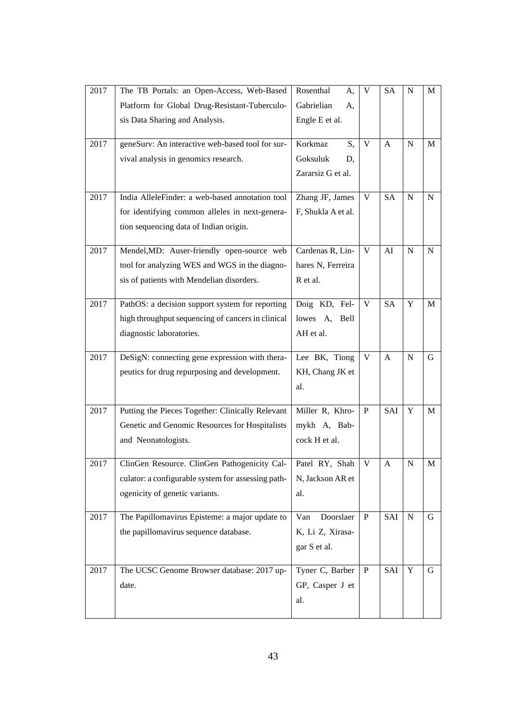| 2017 | The TB Portals: an Open-Access, Web-Based          | Rosenthal<br>А,    | V            | <b>SA</b>    | N           | M           |
|------|----------------------------------------------------|--------------------|--------------|--------------|-------------|-------------|
|      | Platform for Global Drug-Resistant-Tuberculo-      | Gabrielian<br>А,   |              |              |             |             |
|      | sis Data Sharing and Analysis.                     | Engle E et al.     |              |              |             |             |
|      |                                                    |                    |              |              |             |             |
| 2017 | geneSurv: An interactive web-based tool for sur-   | Korkmaz<br>S,      | $\mathbf{V}$ | A            | N           | M           |
|      | vival analysis in genomics research.               | Goksuluk<br>D,     |              |              |             |             |
|      |                                                    | Zararsiz G et al.  |              |              |             |             |
| 2017 | India AlleleFinder: a web-based annotation tool    | Zhang JF, James    | V            | <b>SA</b>    | $\mathbf N$ | $\mathbf N$ |
|      | for identifying common alleles in next-genera-     | F, Shukla A et al. |              |              |             |             |
|      | tion sequencing data of Indian origin.             |                    |              |              |             |             |
|      |                                                    |                    |              |              |             |             |
| 2017 | Mendel, MD: Auser-friendly open-source web         | Cardenas R, Lin-   | V            | AI           | $\mathbf N$ | N           |
|      | tool for analyzing WES and WGS in the diagno-      | hares N, Ferreira  |              |              |             |             |
|      | sis of patients with Mendelian disorders.          | R et al.           |              |              |             |             |
| 2017 | PathOS: a decision support system for reporting    | Doig KD, Fel-      | V            | <b>SA</b>    | Y           | M           |
|      | high throughput sequencing of cancers in clinical  | lowes A,<br>Bell   |              |              |             |             |
|      | diagnostic laboratories.                           | AH et al.          |              |              |             |             |
|      |                                                    |                    |              |              |             |             |
| 2017 | DeSigN: connecting gene expression with thera-     | Lee BK, Tiong      | V            | $\mathbf{A}$ | $\mathbf N$ | G           |
|      | peutics for drug repurposing and development.      | KH, Chang JK et    |              |              |             |             |
|      |                                                    | al.                |              |              |             |             |
|      |                                                    |                    |              |              |             |             |
| 2017 | Putting the Pieces Together: Clinically Relevant   | Miller R, Khro-    | $\mathbf{P}$ | SAI          | Y           | M           |
|      | Genetic and Genomic Resources for Hospitalists     | mykh A, Bab-       |              |              |             |             |
|      | and Neonatologists.                                | cock H et al.      |              |              |             |             |
| 2017 | ClinGen Resource. ClinGen Pathogenicity Cal-       | Patel RY, Shah     | V            | A            | N           | M           |
|      | culator: a configurable system for assessing path- | N, Jackson AR et   |              |              |             |             |
|      | ogenicity of genetic variants.                     | al.                |              |              |             |             |
|      |                                                    |                    |              |              |             |             |
| 2017 | The Papillomavirus Episteme: a major update to     | Doorslaer<br>Van   | $\mathbf{P}$ | SAI          | ${\bf N}$   | G           |
|      | the papillomavirus sequence database.              | K, Li Z, Xirasa-   |              |              |             |             |
|      |                                                    | gar S et al.       |              |              |             |             |
| 2017 | The UCSC Genome Browser database: 2017 up-         | Tyner C, Barber    | $\mathbf{P}$ | SAI          | $\mathbf Y$ | G           |
|      | date.                                              | GP, Casper J et    |              |              |             |             |
|      |                                                    |                    |              |              |             |             |
|      |                                                    | al.                |              |              |             |             |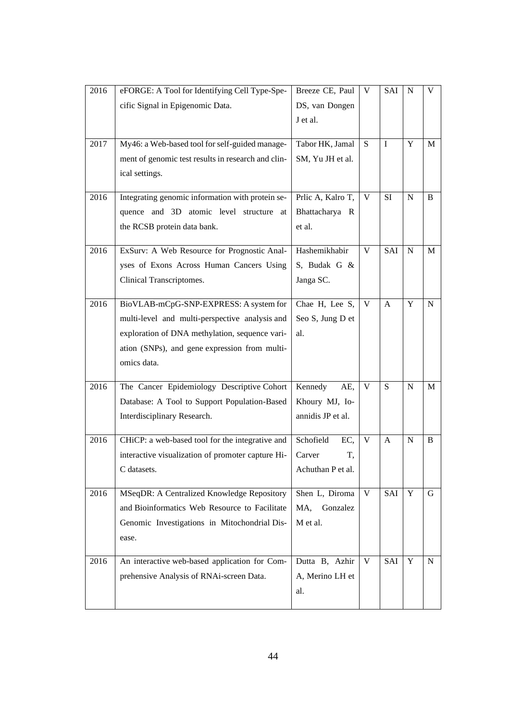| 2016 | eFORGE: A Tool for Identifying Cell Type-Spe-      | Breeze CE, Paul   | V | <b>SAI</b>  | N           | V |
|------|----------------------------------------------------|-------------------|---|-------------|-------------|---|
|      | cific Signal in Epigenomic Data.                   | DS, van Dongen    |   |             |             |   |
|      |                                                    | J et al.          |   |             |             |   |
|      |                                                    |                   |   |             |             |   |
| 2017 | My46: a Web-based tool for self-guided manage-     | Tabor HK, Jamal   | S | $\mathbf I$ | Y           | M |
|      | ment of genomic test results in research and clin- | SM, Yu JH et al.  |   |             |             |   |
|      | ical settings.                                     |                   |   |             |             |   |
| 2016 | Integrating genomic information with protein se-   | Prlic A, Kalro T, | V | <b>SI</b>   | N           | B |
|      | quence and 3D atomic level structure at            | Bhattacharya R    |   |             |             |   |
|      | the RCSB protein data bank.                        | et al.            |   |             |             |   |
|      |                                                    |                   |   |             |             |   |
| 2016 | ExSurv: A Web Resource for Prognostic Anal-        | Hashemikhabir     | V | SAI         | N           | M |
|      | yses of Exons Across Human Cancers Using           | S, Budak G &      |   |             |             |   |
|      | Clinical Transcriptomes.                           | Janga SC.         |   |             |             |   |
|      |                                                    |                   |   |             |             |   |
| 2016 | BioVLAB-mCpG-SNP-EXPRESS: A system for             | Chae H, Lee S,    | V | A           | Y           | N |
|      | multi-level and multi-perspective analysis and     | Seo S, Jung D et  |   |             |             |   |
|      | exploration of DNA methylation, sequence vari-     | al.               |   |             |             |   |
|      | ation (SNPs), and gene expression from multi-      |                   |   |             |             |   |
|      | omics data.                                        |                   |   |             |             |   |
| 2016 | The Cancer Epidemiology Descriptive Cohort         | Kennedy<br>AE,    | V | S           | $\mathbf N$ | M |
|      | Database: A Tool to Support Population-Based       | Khoury MJ, Io-    |   |             |             |   |
|      | Interdisciplinary Research.                        | annidis JP et al. |   |             |             |   |
|      |                                                    |                   |   |             |             |   |
| 2016 | CHiCP: a web-based tool for the integrative and    | Schofield<br>EC,  | V | A           | N           | B |
|      | interactive visualization of promoter capture Hi-  | T,<br>Carver      |   |             |             |   |
|      | C datasets.                                        | Achuthan P et al. |   |             |             |   |
| 2016 | MSeqDR: A Centralized Knowledge Repository         | Shen L, Diroma    | V | SAI         | Y           | G |
|      | and Bioinformatics Web Resource to Facilitate      | MA,<br>Gonzalez   |   |             |             |   |
|      | Genomic Investigations in Mitochondrial Dis-       | M et al.          |   |             |             |   |
|      | ease.                                              |                   |   |             |             |   |
|      |                                                    |                   |   |             |             |   |
| 2016 | An interactive web-based application for Com-      | Dutta B, Azhir    | V | SAI         | Y           | N |
|      | prehensive Analysis of RNAi-screen Data.           | A, Merino LH et   |   |             |             |   |
|      |                                                    | al.               |   |             |             |   |
|      |                                                    |                   |   |             |             |   |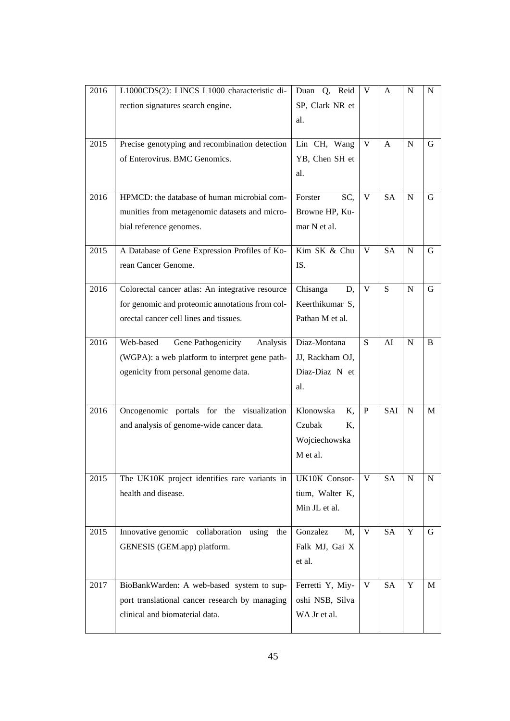| 2016 | L1000CDS(2): LINCS L1000 characteristic di-      | Duan Q, Reid     | V            | A         | N           | N |
|------|--------------------------------------------------|------------------|--------------|-----------|-------------|---|
|      | rection signatures search engine.                | SP, Clark NR et  |              |           |             |   |
|      |                                                  | al.              |              |           |             |   |
|      |                                                  |                  |              |           |             |   |
| 2015 | Precise genotyping and recombination detection   | Lin CH, Wang     | V            | A         | N           | G |
|      | of Enterovirus. BMC Genomics.                    | YB, Chen SH et   |              |           |             |   |
|      |                                                  | al.              |              |           |             |   |
| 2016 | HPMCD: the database of human microbial com-      | Forster<br>SC,   | V            | <b>SA</b> | $\mathbf N$ | G |
|      | munities from metagenomic datasets and micro-    | Browne HP, Ku-   |              |           |             |   |
|      |                                                  | mar N et al.     |              |           |             |   |
|      | bial reference genomes.                          |                  |              |           |             |   |
| 2015 | A Database of Gene Expression Profiles of Ko-    | Kim SK & Chu     | V            | <b>SA</b> | N           | G |
|      | rean Cancer Genome.                              | IS.              |              |           |             |   |
|      |                                                  |                  |              |           |             |   |
| 2016 | Colorectal cancer atlas: An integrative resource | Chisanga<br>D,   | V            | S         | N           | G |
|      | for genomic and proteomic annotations from col-  | Keerthikumar S,  |              |           |             |   |
|      | orectal cancer cell lines and tissues.           | Pathan M et al.  |              |           |             |   |
|      |                                                  |                  |              |           |             |   |
| 2016 | Web-based<br>Gene Pathogenicity<br>Analysis      | Diaz-Montana     | S            | AI        | N           | B |
|      | (WGPA): a web platform to interpret gene path-   | JJ, Rackham OJ,  |              |           |             |   |
|      | ogenicity from personal genome data.             | Diaz-Diaz N et   |              |           |             |   |
|      |                                                  | al.              |              |           |             |   |
| 2016 | Oncogenomic portals for the visualization        | Klonowska<br>K,  | $\mathbf{P}$ | SAI       | $\mathbf N$ | M |
|      | and analysis of genome-wide cancer data.         | Czubak<br>Κ,     |              |           |             |   |
|      |                                                  | Wojciechowska    |              |           |             |   |
|      |                                                  | M et al.         |              |           |             |   |
|      |                                                  |                  |              |           |             |   |
| 2015 | The UK10K project identifies rare variants in    | UK10K Consor-    | V            | SA        | N           | N |
|      | health and disease.                              | tium, Walter K,  |              |           |             |   |
|      |                                                  | Min JL et al.    |              |           |             |   |
|      |                                                  |                  |              |           |             |   |
| 2015 | Innovative genomic collaboration using<br>the    | Gonzalez<br>M,   | V            | SA        | Y           | G |
|      | GENESIS (GEM.app) platform.                      | Falk MJ, Gai X   |              |           |             |   |
|      |                                                  | et al.           |              |           |             |   |
| 2017 | BioBankWarden: A web-based system to sup-        | Ferretti Y, Miy- | V            | <b>SA</b> | Y           | M |
|      |                                                  | oshi NSB, Silva  |              |           |             |   |
|      | port translational cancer research by managing   |                  |              |           |             |   |
|      | clinical and biomaterial data.                   | WA Jr et al.     |              |           |             |   |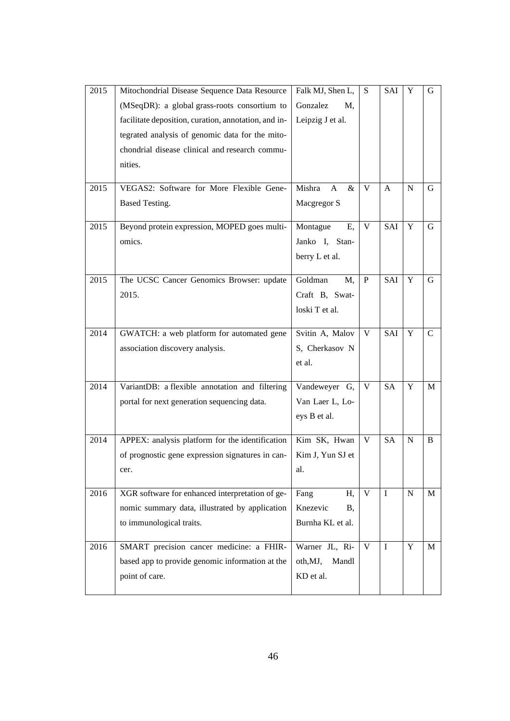| 2015 | Mitochondrial Disease Sequence Data Resource         | Falk MJ, Shen L,            | S            | SAI         | Y         | G            |
|------|------------------------------------------------------|-----------------------------|--------------|-------------|-----------|--------------|
|      | (MSeqDR): a global grass-roots consortium to         | Gonzalez<br>M,              |              |             |           |              |
|      | facilitate deposition, curation, annotation, and in- | Leipzig J et al.            |              |             |           |              |
|      | tegrated analysis of genomic data for the mito-      |                             |              |             |           |              |
|      | chondrial disease clinical and research commu-       |                             |              |             |           |              |
|      | nities.                                              |                             |              |             |           |              |
|      |                                                      |                             |              |             |           |              |
| 2015 | VEGAS2: Software for More Flexible Gene-             | Mishra<br>&<br>$\mathbf{A}$ | V            | A           | N         | G            |
|      | Based Testing.                                       | Macgregor S                 |              |             |           |              |
| 2015 | Beyond protein expression, MOPED goes multi-         | Montague<br>E,              | $\mathbf{V}$ | SAI         | Y         | $\mathbf G$  |
|      | omics.                                               | Janko I, Stan-              |              |             |           |              |
|      |                                                      | berry L et al.              |              |             |           |              |
|      |                                                      |                             |              |             |           |              |
| 2015 | The UCSC Cancer Genomics Browser: update             | Goldman<br>M,               | $\mathbf{P}$ | SAI         | Y         | G            |
|      | 2015.                                                | Craft B, Swat-              |              |             |           |              |
|      |                                                      | loski T et al.              |              |             |           |              |
| 2014 | GWATCH: a web platform for automated gene            | Svitin A, Malov             | V            | SAI         | Y         | $\mathsf{C}$ |
|      | association discovery analysis.                      | S, Cherkasov N              |              |             |           |              |
|      |                                                      |                             |              |             |           |              |
|      |                                                      | et al.                      |              |             |           |              |
| 2014 | VariantDB: a flexible annotation and filtering       | Vandeweyer G,               | V            | <b>SA</b>   | Y         | M            |
|      | portal for next generation sequencing data.          | Van Laer L, Lo-             |              |             |           |              |
|      |                                                      | eys B et al.                |              |             |           |              |
|      |                                                      |                             |              |             |           |              |
| 2014 | APPEX: analysis platform for the identification      | Kim SK, Hwan                | V            | <b>SA</b>   | N         | B            |
|      | of prognostic gene expression signatures in can-     | Kim J, Yun SJ et            |              |             |           |              |
|      | cer.                                                 | al.                         |              |             |           |              |
| 2016 | XGR software for enhanced interpretation of ge-      | Fang<br>H,                  | V            | $\mathbf I$ | ${\bf N}$ | $\mathbf M$  |
|      | nomic summary data, illustrated by application       | Knezevic<br>Β,              |              |             |           |              |
|      | to immunological traits.                             | Burnha KL et al.            |              |             |           |              |
|      |                                                      |                             |              |             |           |              |
| 2016 | SMART precision cancer medicine: a FHIR-             | Warner JL, Ri-              | V            | $\mathbf I$ | Y         | M            |
|      | based app to provide genomic information at the      | oth,MJ,<br>Mandl            |              |             |           |              |
|      | point of care.                                       | KD et al.                   |              |             |           |              |
|      |                                                      |                             |              |             |           |              |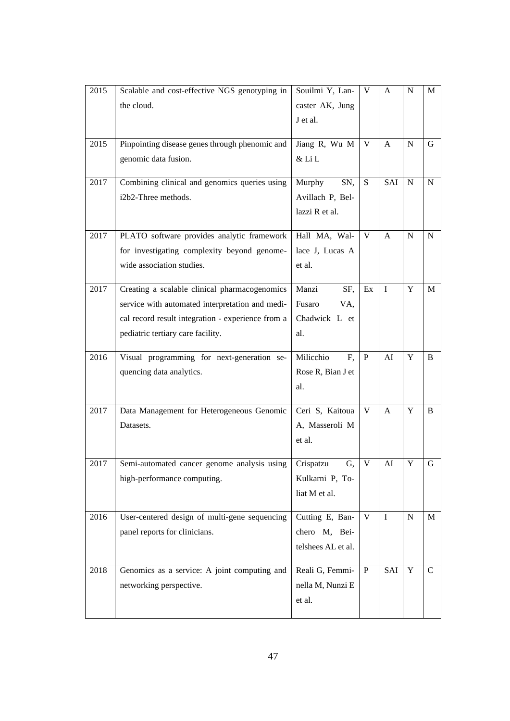| 2015 | Scalable and cost-effective NGS genotyping in     | Souilmi Y, Lan-    | V            | A            | N | M           |
|------|---------------------------------------------------|--------------------|--------------|--------------|---|-------------|
|      | the cloud.                                        | caster AK, Jung    |              |              |   |             |
|      |                                                   | J et al.           |              |              |   |             |
|      |                                                   |                    |              |              |   |             |
| 2015 | Pinpointing disease genes through phenomic and    | Jiang R, Wu M      | V            | A            | N | G           |
|      | genomic data fusion.                              | & Li L             |              |              |   |             |
| 2017 | Combining clinical and genomics queries using     | Murphy<br>SN,      | S            | SAI          | N | N           |
|      | i2b2-Three methods.                               | Avillach P, Bel-   |              |              |   |             |
|      |                                                   | lazzi R et al.     |              |              |   |             |
|      |                                                   |                    |              |              |   |             |
| 2017 | PLATO software provides analytic framework        | Hall MA, Wal-      | V            | A            | N | $\mathbf N$ |
|      | for investigating complexity beyond genome-       | lace J, Lucas A    |              |              |   |             |
|      | wide association studies.                         | et al.             |              |              |   |             |
| 2017 | Creating a scalable clinical pharmacogenomics     | Manzi<br>SF,       | Ex           | $\mathbf I$  | Y | M           |
|      | service with automated interpretation and medi-   | Fusaro<br>VA,      |              |              |   |             |
|      | cal record result integration - experience from a | Chadwick L et      |              |              |   |             |
|      | pediatric tertiary care facility.                 | al.                |              |              |   |             |
|      |                                                   |                    |              |              |   |             |
| 2016 | Visual programming for next-generation se-        | Milicchio<br>F,    | P            | AI           | Y | B           |
|      | quencing data analytics.                          | Rose R, Bian J et  |              |              |   |             |
|      |                                                   | al.                |              |              |   |             |
| 2017 | Data Management for Heterogeneous Genomic         | Ceri S, Kaitoua    | V            | $\mathbf{A}$ | Y | B           |
|      | Datasets.                                         | A, Masseroli M     |              |              |   |             |
|      |                                                   | et al.             |              |              |   |             |
|      |                                                   |                    |              |              |   |             |
| 2017 | Semi-automated cancer genome analysis using       | Crispatzu<br>G.    | V            | AI           | Y | G           |
|      | high-performance computing.                       | Kulkarni P, To-    |              |              |   |             |
|      |                                                   | liat M et al.      |              |              |   |             |
|      |                                                   |                    |              |              |   |             |
| 2016 | User-centered design of multi-gene sequencing     | Cutting E, Ban-    | V            | $\mathbf I$  | N | M           |
|      | panel reports for clinicians.                     | chero M, Bei-      |              |              |   |             |
|      |                                                   | telshees AL et al. |              |              |   |             |
| 2018 | Genomics as a service: A joint computing and      | Reali G, Femmi-    | $\mathbf{P}$ | SAI          | Y | $\mathbf C$ |
|      | networking perspective.                           | nella M, Nunzi E   |              |              |   |             |
|      |                                                   | et al.             |              |              |   |             |
|      |                                                   |                    |              |              |   |             |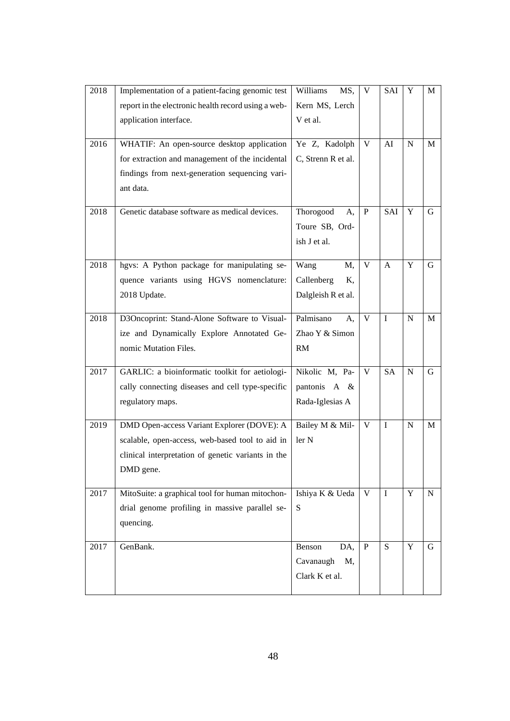| 2018 | Implementation of a patient-facing genomic test     | Williams<br>MS,    | V            | SAI          | Y           | M         |
|------|-----------------------------------------------------|--------------------|--------------|--------------|-------------|-----------|
|      | report in the electronic health record using a web- | Kern MS, Lerch     |              |              |             |           |
|      | application interface.                              | V et al.           |              |              |             |           |
|      |                                                     |                    |              |              |             |           |
| 2016 | WHATIF: An open-source desktop application          | Ye Z, Kadolph      | V            | AI           | $\mathbf N$ | M         |
|      | for extraction and management of the incidental     | C, Strenn R et al. |              |              |             |           |
|      | findings from next-generation sequencing vari-      |                    |              |              |             |           |
|      | ant data.                                           |                    |              |              |             |           |
| 2018 | Genetic database software as medical devices.       | Thorogood<br>A,    | $\, {\bf P}$ | SAI          | Y           | G         |
|      |                                                     | Toure SB, Ord-     |              |              |             |           |
|      |                                                     | ish J et al.       |              |              |             |           |
|      |                                                     |                    |              |              |             |           |
| 2018 | hgvs: A Python package for manipulating se-         | Wang<br>M,         | V            | $\mathbf{A}$ | Y           | G         |
|      | quence variants using HGVS nomenclature:            | Callenberg<br>Κ,   |              |              |             |           |
|      | 2018 Update.                                        | Dalgleish R et al. |              |              |             |           |
|      |                                                     |                    |              |              |             |           |
| 2018 | D3Oncoprint: Stand-Alone Software to Visual-        | Palmisano<br>A,    | V            | $\mathbf{I}$ | $\mathbf N$ | M         |
|      | ize and Dynamically Explore Annotated Ge-           | Zhao Y & Simon     |              |              |             |           |
|      | nomic Mutation Files.                               | RM                 |              |              |             |           |
| 2017 | GARLIC: a bioinformatic toolkit for aetiologi-      | Nikolic M, Pa-     | V            | <b>SA</b>    | N           | G         |
|      | cally connecting diseases and cell type-specific    | pantonis A &       |              |              |             |           |
|      | regulatory maps.                                    | Rada-Iglesias A    |              |              |             |           |
|      |                                                     |                    |              |              |             |           |
| 2019 | DMD Open-access Variant Explorer (DOVE): A          | Bailey M & Mil-    | V            | $\mathbf I$  | $\mathbf N$ | M         |
|      | scalable, open-access, web-based tool to aid in     | ler N              |              |              |             |           |
|      | clinical interpretation of genetic variants in the  |                    |              |              |             |           |
|      | DMD gene.                                           |                    |              |              |             |           |
|      |                                                     |                    |              | $\mathbf{I}$ | Y           |           |
| 2017 | MitoSuite: a graphical tool for human mitochon-     | Ishiya K & Ueda    | V            |              |             | ${\bf N}$ |
|      | drial genome profiling in massive parallel se-      | S                  |              |              |             |           |
|      | quencing.                                           |                    |              |              |             |           |
| 2017 | GenBank.                                            | Benson<br>DA,      | $\mathbf{P}$ | S            | Y           | G         |
|      |                                                     | Cavanaugh<br>M,    |              |              |             |           |
|      |                                                     | Clark K et al.     |              |              |             |           |
|      |                                                     |                    |              |              |             |           |